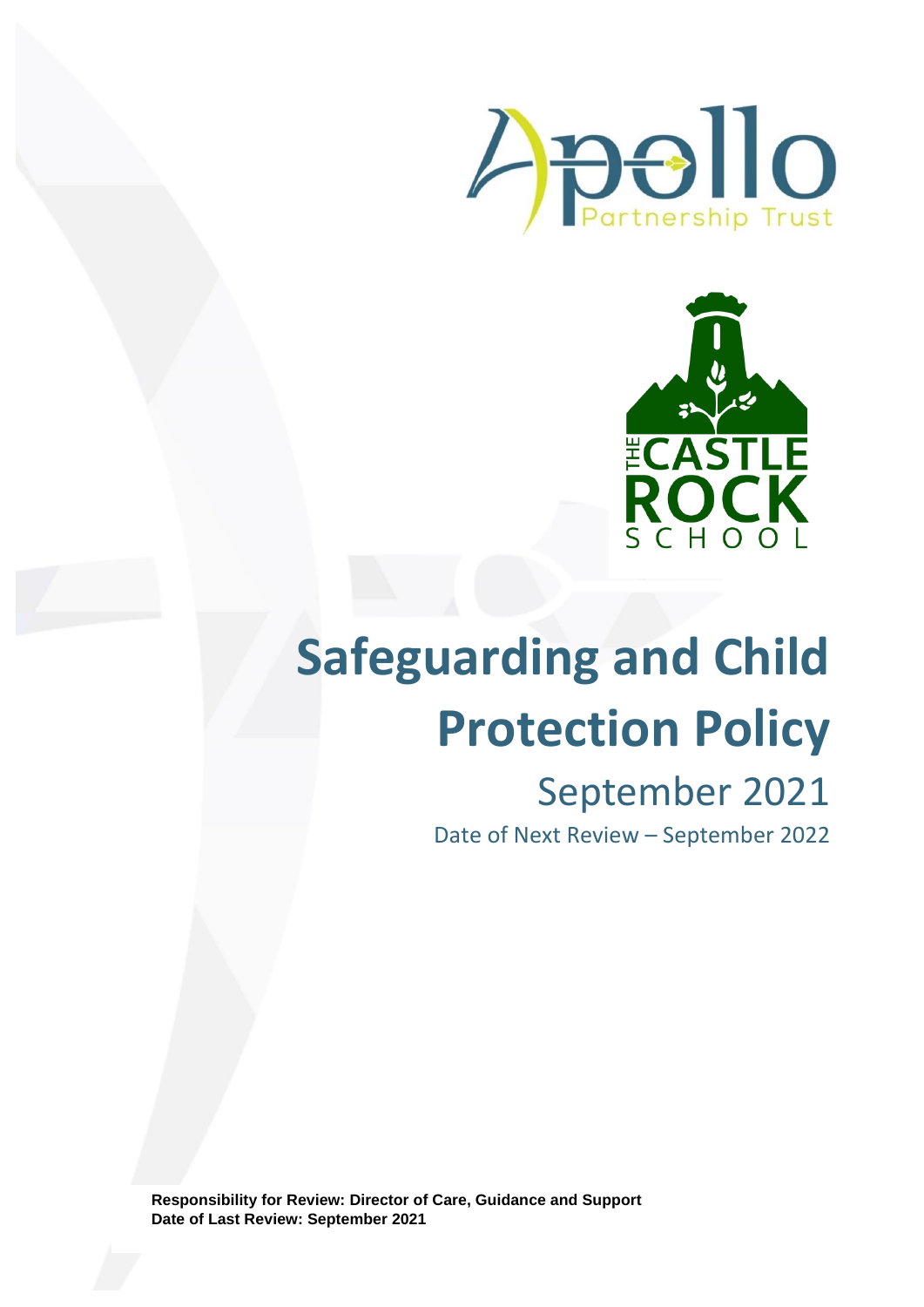



# **Safeguarding and Child Protection Policy**

# September 2021

Date of Next Review – September 2022

**Responsibility for Review: Director of Care, Guidance and Support Date of Last Review: September 2021**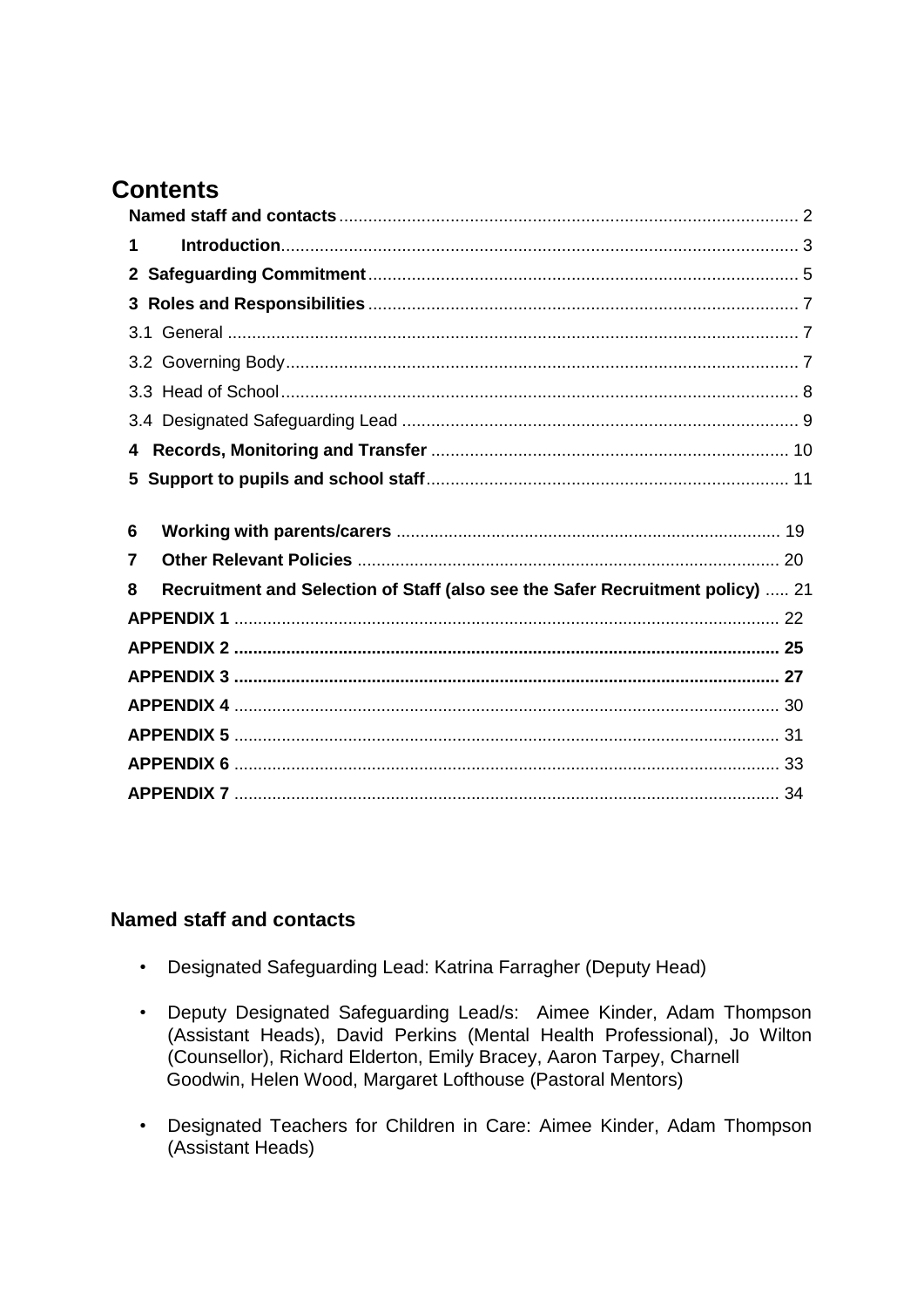# **Contents**

| 1                                                                                   |  |
|-------------------------------------------------------------------------------------|--|
|                                                                                     |  |
|                                                                                     |  |
|                                                                                     |  |
|                                                                                     |  |
|                                                                                     |  |
|                                                                                     |  |
|                                                                                     |  |
|                                                                                     |  |
|                                                                                     |  |
| 6                                                                                   |  |
| 7                                                                                   |  |
| Recruitment and Selection of Staff (also see the Safer Recruitment policy)  21<br>8 |  |
|                                                                                     |  |
|                                                                                     |  |
|                                                                                     |  |
|                                                                                     |  |
|                                                                                     |  |
|                                                                                     |  |
|                                                                                     |  |

# <span id="page-1-0"></span>Named staff and contacts

- Designated Safeguarding Lead: Katrina Farragher (Deputy Head)
- Deputy Designated Safeguarding Lead/s: Aimee Kinder, Adam Thompson (Assistant Heads), David Perkins (Mental Health Professional), Jo Wilton (Counsellor), Richard Elderton, Emily Bracey, Aaron Tarpey, Charnell Goodwin, Helen Wood, Margaret Lofthouse (Pastoral Mentors)
- Designated Teachers for Children in Care: Aimee Kinder, Adam Thompson (Assistant Heads)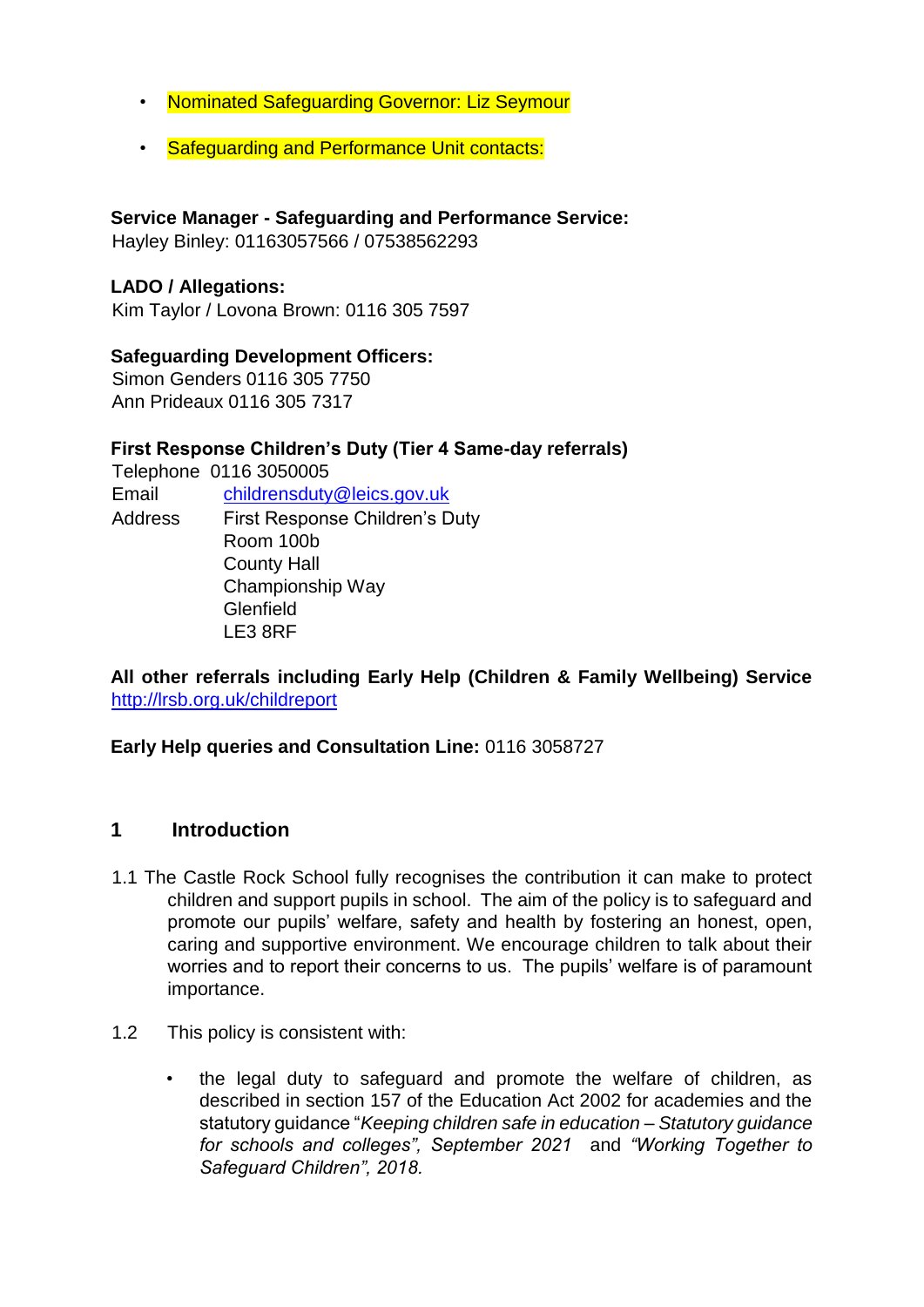- Nominated Safeguarding Governor: Liz Seymour
- Safeguarding and Performance Unit contacts:

**Service Manager - Safeguarding and Performance Service:**

Hayley Binley: 01163057566 / 07538562293

#### **LADO / Allegations:**

Kim Taylor / Lovona Brown: 0116 305 7597

#### **Safeguarding Development Officers:**

Simon Genders 0116 305 7750 Ann Prideaux 0116 305 7317

#### **First Response Children's Duty (Tier 4 Same-day referrals)**

Telephone 0116 3050005 Email childrensduty@leics.gov.uk Address First Response Children's Duty Room 100b County Hall Championship Way **Glenfield** LE3 8RF

**All other referrals including Early Help (Children & Family Wellbeing) Service**  <http://lrsb.org.uk/childreport>

#### **Early Help queries and Consultation Line:** 0116 3058727

#### <span id="page-2-0"></span>**1 Introduction**

- 1.1 The Castle Rock School fully recognises the contribution it can make to protect children and support pupils in school. The aim of the policy is to safeguard and promote our pupils' welfare, safety and health by fostering an honest, open, caring and supportive environment. We encourage children to talk about their worries and to report their concerns to us. The pupils' welfare is of paramount importance.
- 1.2 This policy is consistent with:
	- the legal duty to safeguard and promote the welfare of children, as described in section 157 of the Education Act 2002 for academies and the statutory guidance "*Keeping children safe in education – Statutory guidance for schools and colleges", September 2021* and *"Working Together to Safeguard Children", 2018.*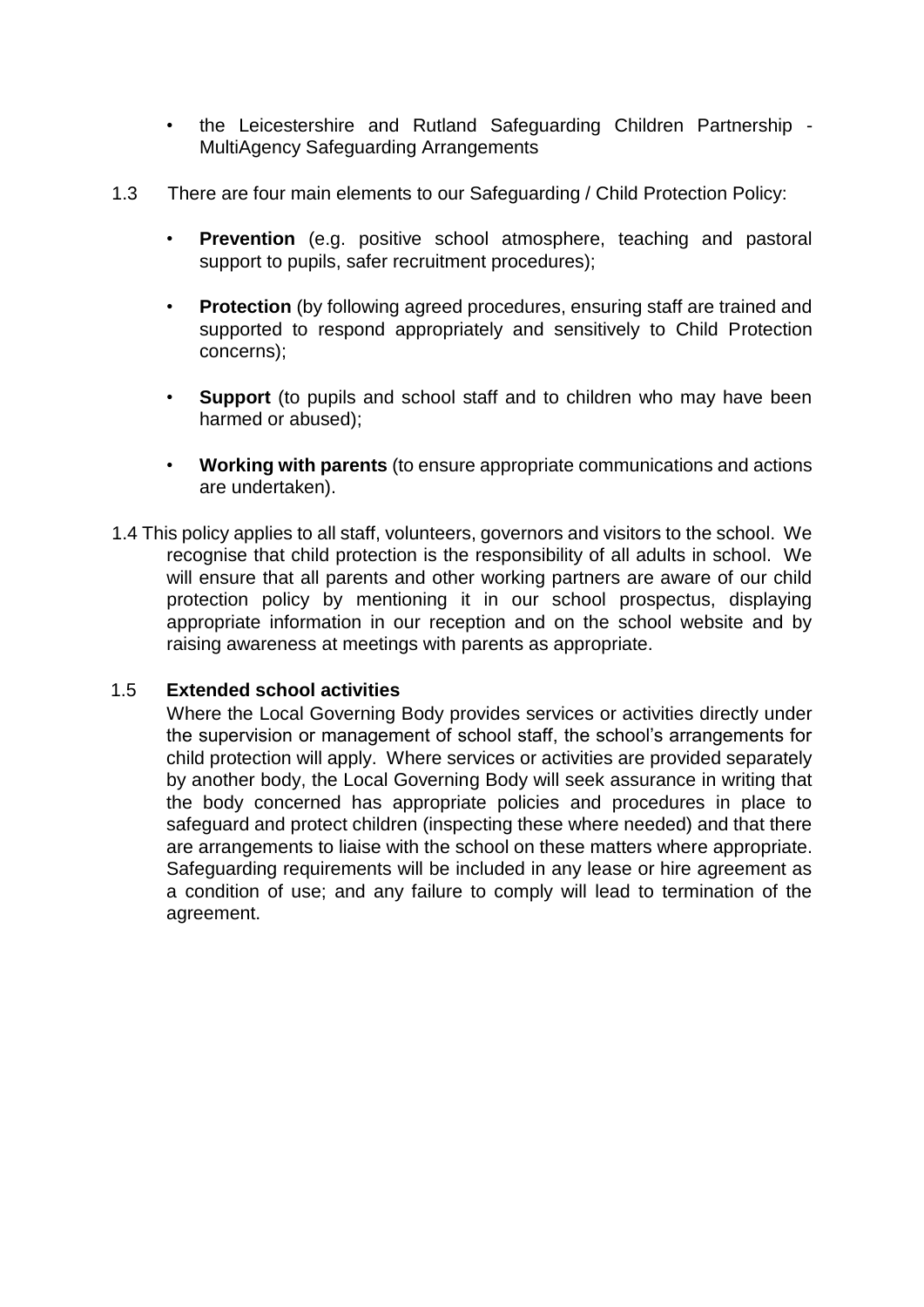- the Leicestershire and Rutland Safeguarding Children Partnership MultiAgency Safeguarding Arrangements
- 1.3 There are four main elements to our Safeguarding / Child Protection Policy:
	- **Prevention** (e.g. positive school atmosphere, teaching and pastoral support to pupils, safer recruitment procedures);
	- **Protection** (by following agreed procedures, ensuring staff are trained and supported to respond appropriately and sensitively to Child Protection concerns);
	- **Support** (to pupils and school staff and to children who may have been harmed or abused);
	- **Working with parents** (to ensure appropriate communications and actions are undertaken).
- 1.4 This policy applies to all staff, volunteers, governors and visitors to the school. We recognise that child protection is the responsibility of all adults in school. We will ensure that all parents and other working partners are aware of our child protection policy by mentioning it in our school prospectus, displaying appropriate information in our reception and on the school website and by raising awareness at meetings with parents as appropriate.

#### 1.5 **Extended school activities**

Where the Local Governing Body provides services or activities directly under the supervision or management of school staff, the school's arrangements for child protection will apply. Where services or activities are provided separately by another body, the Local Governing Body will seek assurance in writing that the body concerned has appropriate policies and procedures in place to safeguard and protect children (inspecting these where needed) and that there are arrangements to liaise with the school on these matters where appropriate. Safeguarding requirements will be included in any lease or hire agreement as a condition of use; and any failure to comply will lead to termination of the agreement.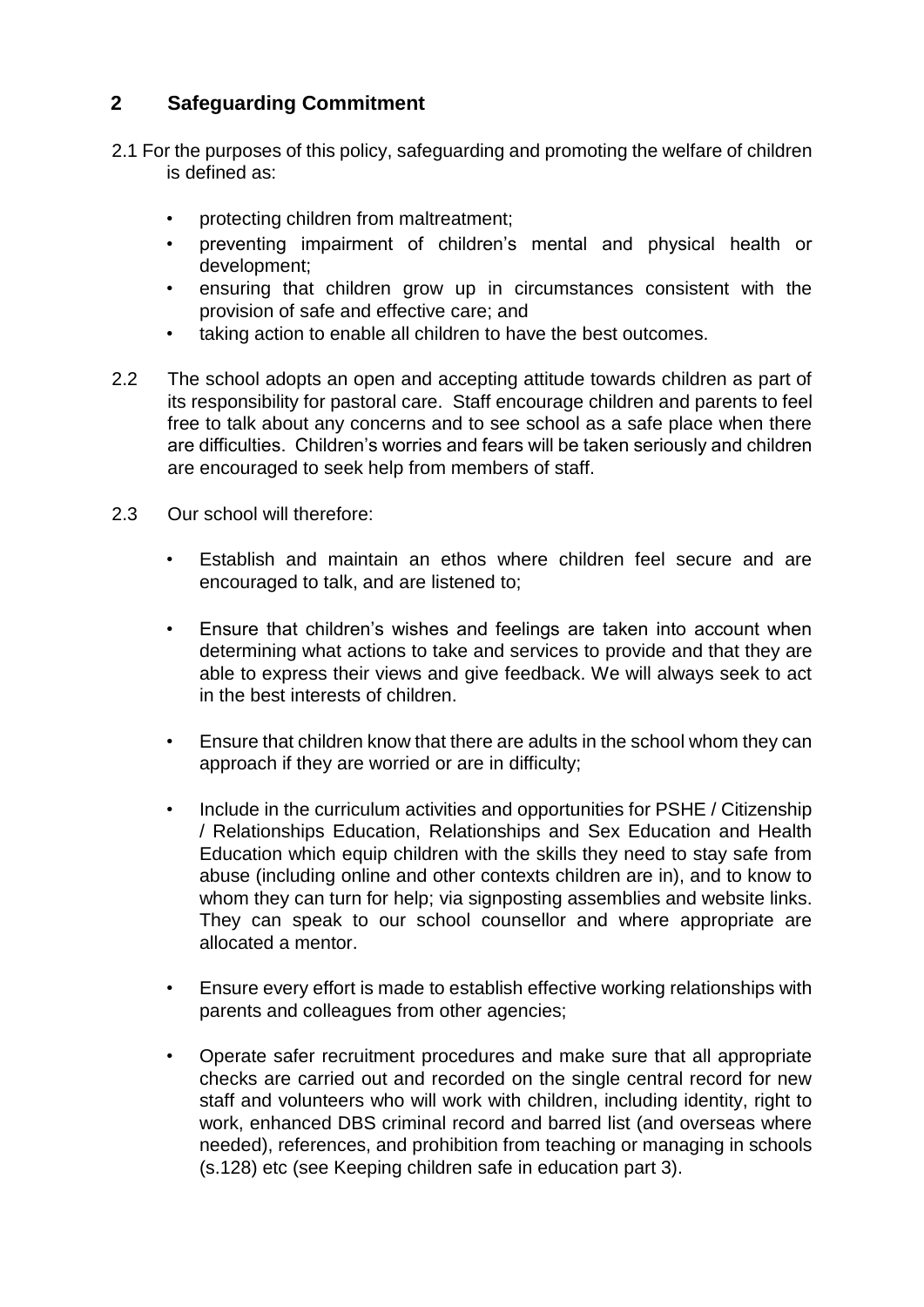# <span id="page-4-0"></span>**2 Safeguarding Commitment**

- 2.1 For the purposes of this policy, safeguarding and promoting the welfare of children is defined as:
	- protecting children from maltreatment;
	- preventing impairment of children's mental and physical health or development;
	- ensuring that children grow up in circumstances consistent with the provision of safe and effective care; and
	- taking action to enable all children to have the best outcomes.
- 2.2 The school adopts an open and accepting attitude towards children as part of its responsibility for pastoral care. Staff encourage children and parents to feel free to talk about any concerns and to see school as a safe place when there are difficulties. Children's worries and fears will be taken seriously and children are encouraged to seek help from members of staff.
- 2.3 Our school will therefore:
	- Establish and maintain an ethos where children feel secure and are encouraged to talk, and are listened to;
	- Ensure that children's wishes and feelings are taken into account when determining what actions to take and services to provide and that they are able to express their views and give feedback. We will always seek to act in the best interests of children.
	- Ensure that children know that there are adults in the school whom they can approach if they are worried or are in difficulty;
	- Include in the curriculum activities and opportunities for PSHE / Citizenship / Relationships Education, Relationships and Sex Education and Health Education which equip children with the skills they need to stay safe from abuse (including online and other contexts children are in), and to know to whom they can turn for help; via signposting assemblies and website links. They can speak to our school counsellor and where appropriate are allocated a mentor.
	- Ensure every effort is made to establish effective working relationships with parents and colleagues from other agencies;
	- Operate safer recruitment procedures and make sure that all appropriate checks are carried out and recorded on the single central record for new staff and volunteers who will work with children, including identity, right to work, enhanced DBS criminal record and barred list (and overseas where needed), references, and prohibition from teaching or managing in schools (s.128) etc (see Keeping children safe in education part 3).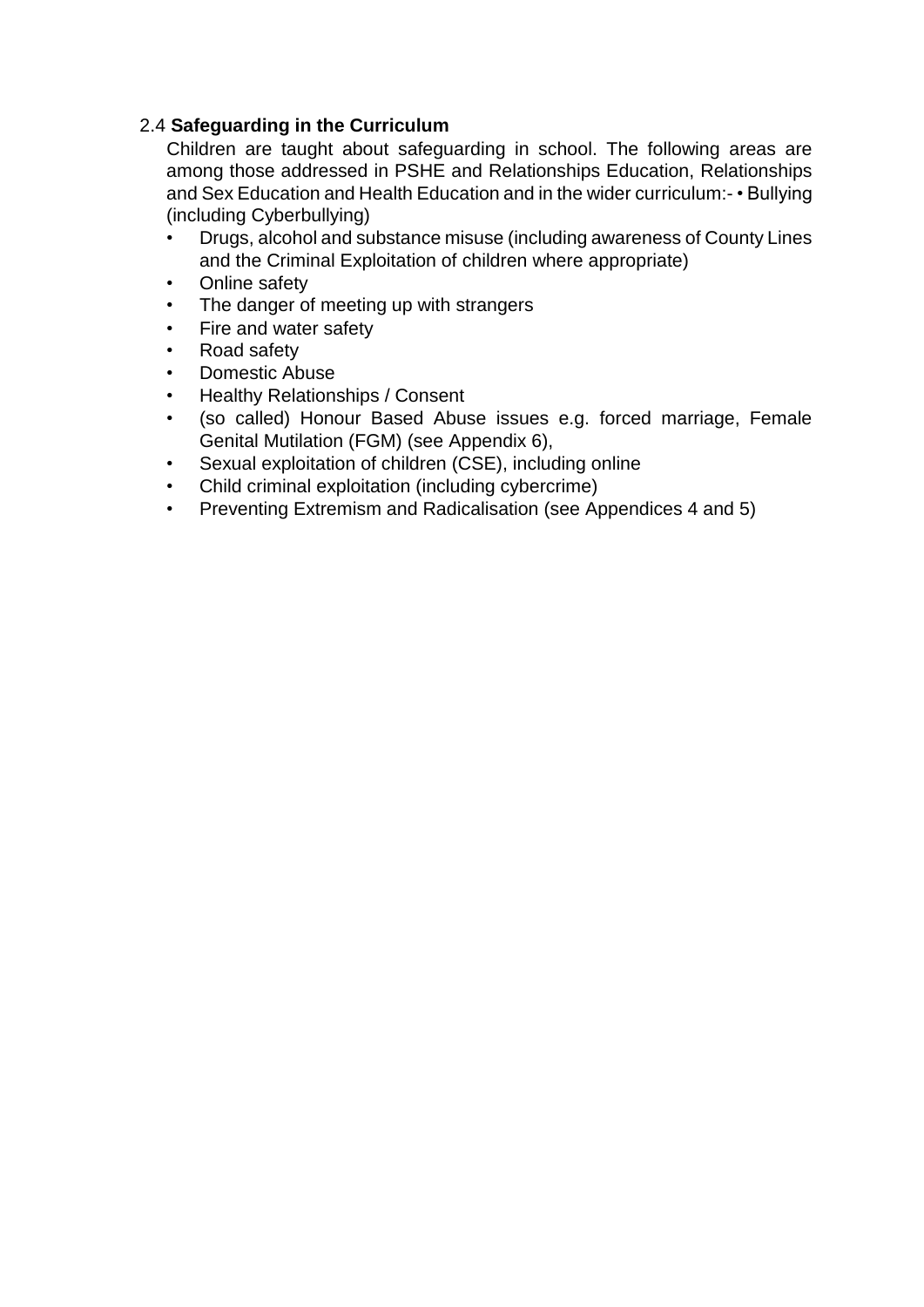#### 2.4 **Safeguarding in the Curriculum**

Children are taught about safeguarding in school. The following areas are among those addressed in PSHE and Relationships Education, Relationships and Sex Education and Health Education and in the wider curriculum:- • Bullying (including Cyberbullying)

- Drugs, alcohol and substance misuse (including awareness of County Lines and the Criminal Exploitation of children where appropriate)
- Online safety
- The danger of meeting up with strangers
- Fire and water safety
- Road safety
- Domestic Abuse
- Healthy Relationships / Consent
- (so called) Honour Based Abuse issues e.g. forced marriage, Female Genital Mutilation (FGM) (see Appendix 6),
- Sexual exploitation of children (CSE), including online
- Child criminal exploitation (including cybercrime)
- Preventing Extremism and Radicalisation (see Appendices 4 and 5)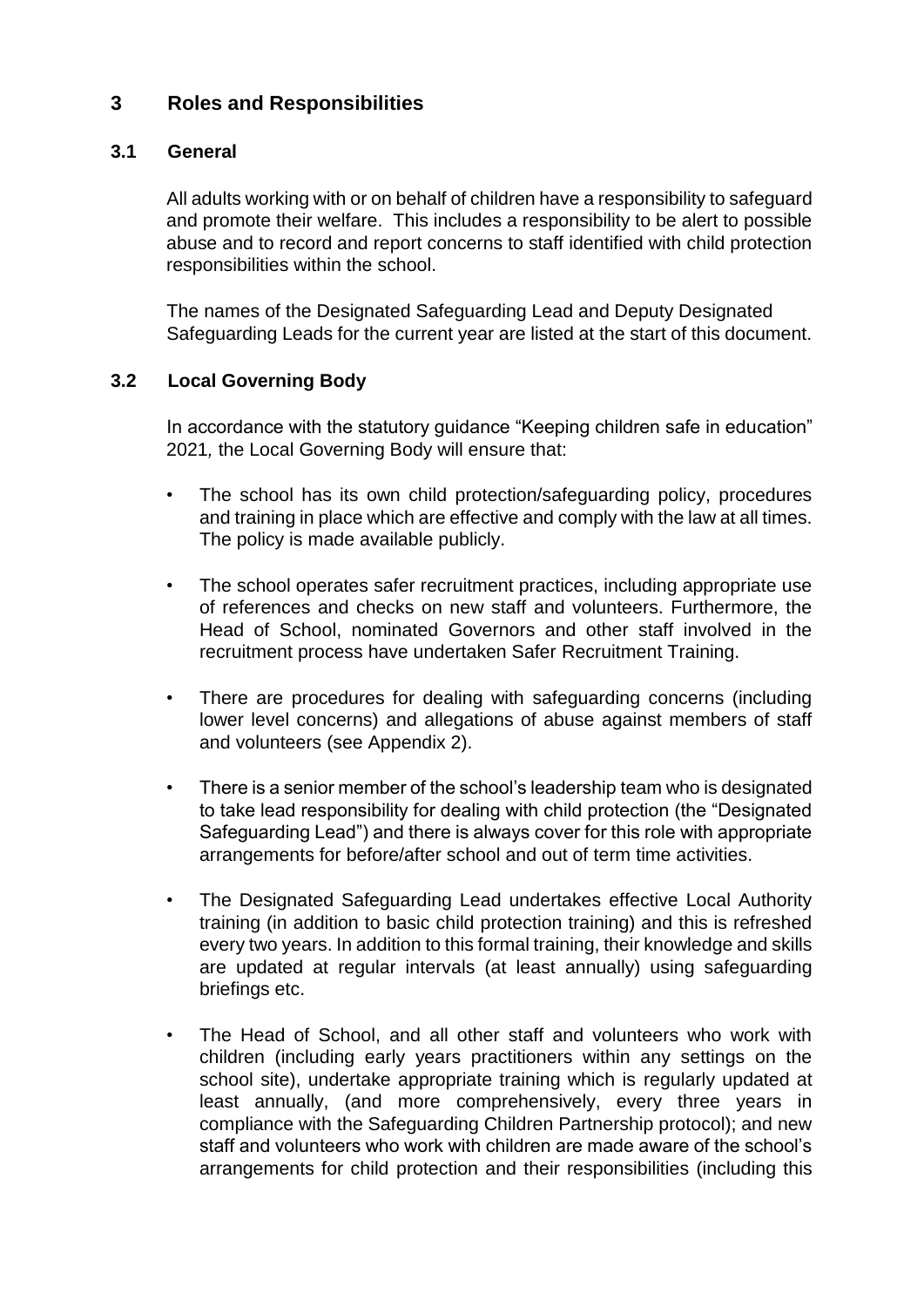#### <span id="page-6-0"></span>**3 Roles and Responsibilities**

#### <span id="page-6-1"></span>**3.1 General**

All adults working with or on behalf of children have a responsibility to safeguard and promote their welfare. This includes a responsibility to be alert to possible abuse and to record and report concerns to staff identified with child protection responsibilities within the school.

The names of the Designated Safeguarding Lead and Deputy Designated Safeguarding Leads for the current year are listed at the start of this document.

#### <span id="page-6-2"></span>**3.2 Local Governing Body**

In accordance with the statutory guidance "Keeping children safe in education" 2021*,* the Local Governing Body will ensure that:

- The school has its own child protection/safeguarding policy, procedures and training in place which are effective and comply with the law at all times. The policy is made available publicly.
- The school operates safer recruitment practices, including appropriate use of references and checks on new staff and volunteers. Furthermore, the Head of School, nominated Governors and other staff involved in the recruitment process have undertaken Safer Recruitment Training.
- There are procedures for dealing with safeguarding concerns (including lower level concerns) and allegations of abuse against members of staff and volunteers (see Appendix 2).
- There is a senior member of the school's leadership team who is designated to take lead responsibility for dealing with child protection (the "Designated Safeguarding Lead") and there is always cover for this role with appropriate arrangements for before/after school and out of term time activities.
- The Designated Safeguarding Lead undertakes effective Local Authority training (in addition to basic child protection training) and this is refreshed every two years. In addition to this formal training, their knowledge and skills are updated at regular intervals (at least annually) using safeguarding briefings etc.
- The Head of School, and all other staff and volunteers who work with children (including early years practitioners within any settings on the school site), undertake appropriate training which is regularly updated at least annually, (and more comprehensively, every three years in compliance with the Safeguarding Children Partnership protocol); and new staff and volunteers who work with children are made aware of the school's arrangements for child protection and their responsibilities (including this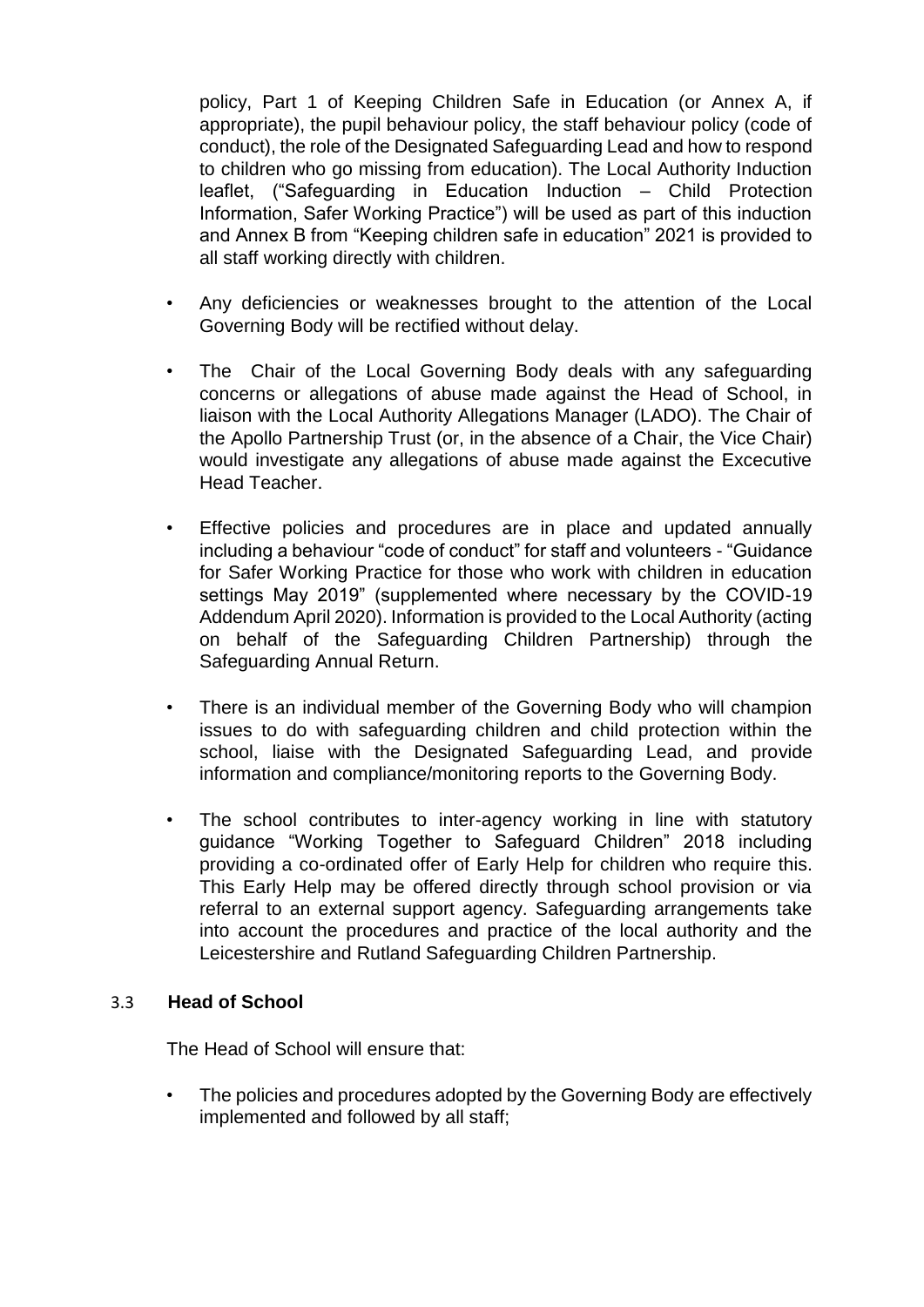policy, Part 1 of Keeping Children Safe in Education (or Annex A, if appropriate), the pupil behaviour policy, the staff behaviour policy (code of conduct), the role of the Designated Safeguarding Lead and how to respond to children who go missing from education). The Local Authority Induction leaflet, ("Safeguarding in Education Induction – Child Protection Information, Safer Working Practice") will be used as part of this induction and Annex B from "Keeping children safe in education" 2021 is provided to all staff working directly with children.

- Any deficiencies or weaknesses brought to the attention of the Local Governing Body will be rectified without delay.
- The Chair of the Local Governing Body deals with any safeguarding concerns or allegations of abuse made against the Head of School, in liaison with the Local Authority Allegations Manager (LADO). The Chair of the Apollo Partnership Trust (or, in the absence of a Chair, the Vice Chair) would investigate any allegations of abuse made against the Excecutive Head Teacher.
- Effective policies and procedures are in place and updated annually including a behaviour "code of conduct" for staff and volunteers - "Guidance for Safer Working Practice for those who work with children in education settings May 2019" (supplemented where necessary by the COVID-19 Addendum April 2020). Information is provided to the Local Authority (acting on behalf of the Safeguarding Children Partnership) through the Safeguarding Annual Return.
- There is an individual member of the Governing Body who will champion issues to do with safeguarding children and child protection within the school, liaise with the Designated Safeguarding Lead, and provide information and compliance/monitoring reports to the Governing Body.
- The school contributes to inter-agency working in line with statutory guidance "Working Together to Safeguard Children" 2018 including providing a co-ordinated offer of Early Help for children who require this. This Early Help may be offered directly through school provision or via referral to an external support agency. Safeguarding arrangements take into account the procedures and practice of the local authority and the Leicestershire and Rutland Safeguarding Children Partnership.

#### <span id="page-7-0"></span>3.3 **Head of School**

The Head of School will ensure that:

The policies and procedures adopted by the Governing Body are effectively implemented and followed by all staff;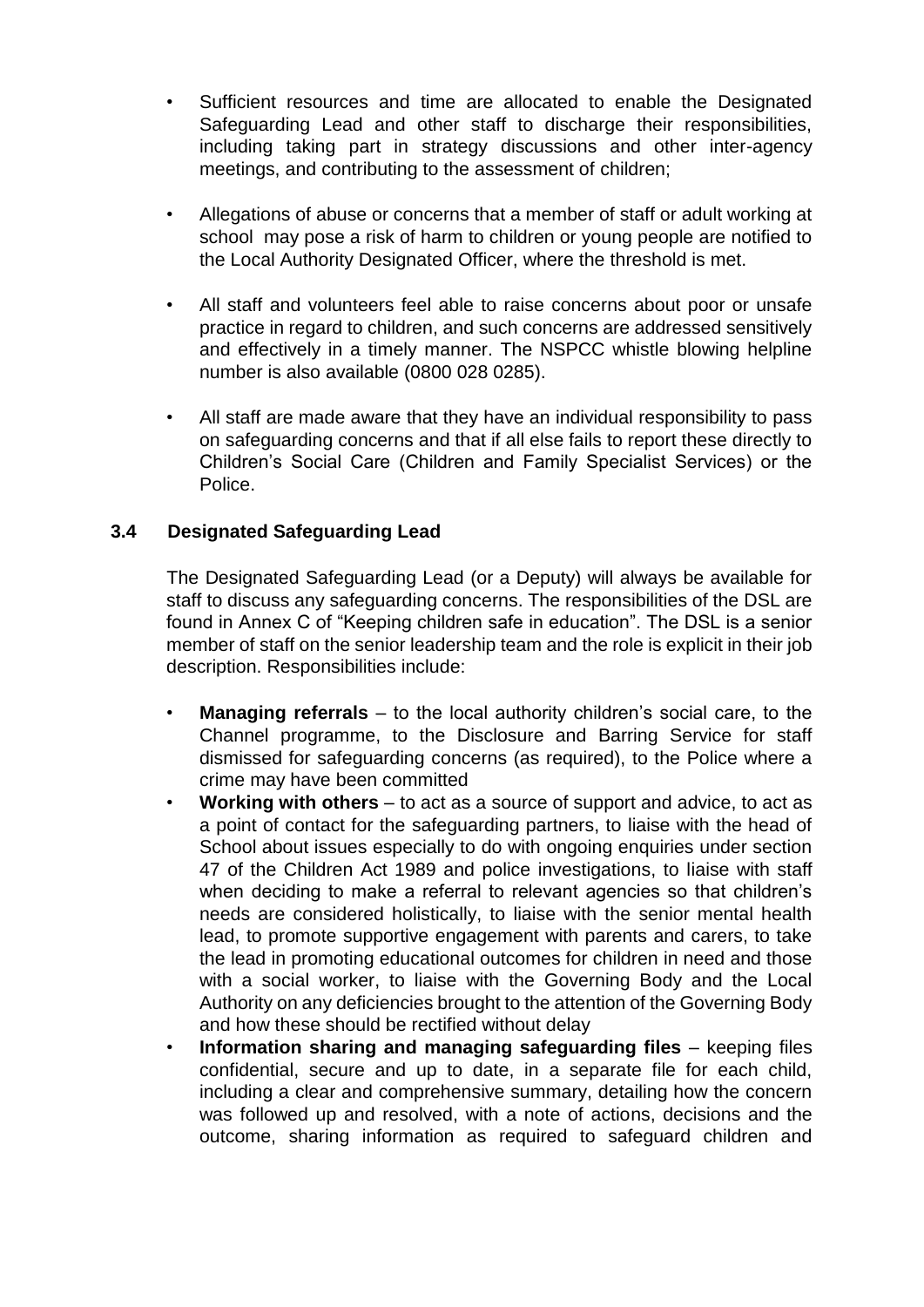- Sufficient resources and time are allocated to enable the Designated Safeguarding Lead and other staff to discharge their responsibilities, including taking part in strategy discussions and other inter-agency meetings, and contributing to the assessment of children;
- Allegations of abuse or concerns that a member of staff or adult working at school may pose a risk of harm to children or young people are notified to the Local Authority Designated Officer, where the threshold is met.
- All staff and volunteers feel able to raise concerns about poor or unsafe practice in regard to children, and such concerns are addressed sensitively and effectively in a timely manner. The NSPCC whistle blowing helpline number is also available (0800 028 0285).
- All staff are made aware that they have an individual responsibility to pass on safeguarding concerns and that if all else fails to report these directly to Children's Social Care (Children and Family Specialist Services) or the Police.

#### <span id="page-8-0"></span>**3.4 Designated Safeguarding Lead**

The Designated Safeguarding Lead (or a Deputy) will always be available for staff to discuss any safeguarding concerns. The responsibilities of the DSL are found in Annex C of "Keeping children safe in education". The DSL is a senior member of staff on the senior leadership team and the role is explicit in their job description. Responsibilities include:

- **Managing referrals** to the local authority children's social care, to the Channel programme, to the Disclosure and Barring Service for staff dismissed for safeguarding concerns (as required), to the Police where a crime may have been committed
- **Working with others** to act as a source of support and advice, to act as a point of contact for the safeguarding partners, to liaise with the head of School about issues especially to do with ongoing enquiries under section 47 of the Children Act 1989 and police investigations, to liaise with staff when deciding to make a referral to relevant agencies so that children's needs are considered holistically, to liaise with the senior mental health lead, to promote supportive engagement with parents and carers, to take the lead in promoting educational outcomes for children in need and those with a social worker, to liaise with the Governing Body and the Local Authority on any deficiencies brought to the attention of the Governing Body and how these should be rectified without delay
- **Information sharing and managing safeguarding files** keeping files confidential, secure and up to date, in a separate file for each child, including a clear and comprehensive summary, detailing how the concern was followed up and resolved, with a note of actions, decisions and the outcome, sharing information as required to safeguard children and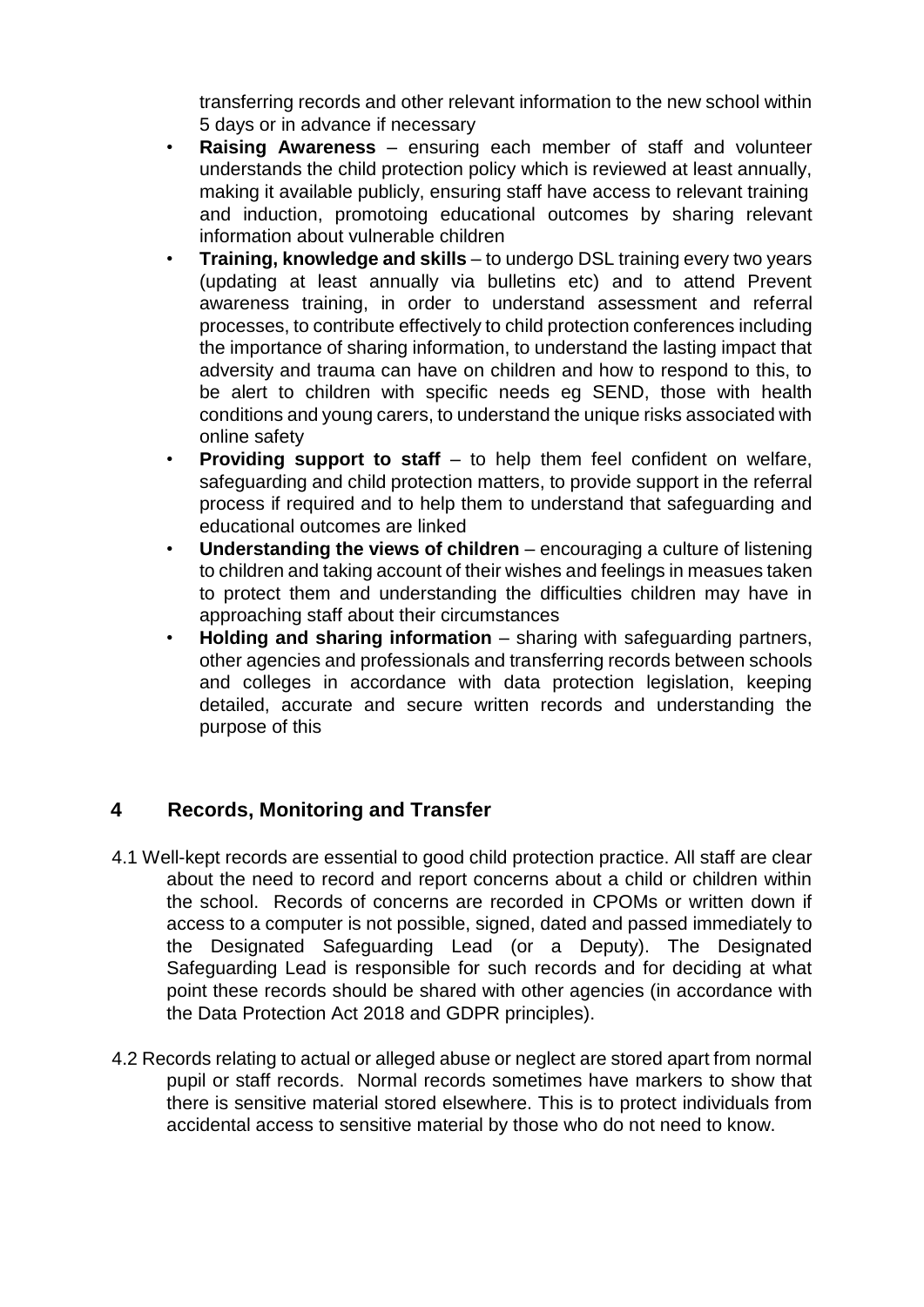transferring records and other relevant information to the new school within 5 days or in advance if necessary

- **Raising Awareness** ensuring each member of staff and volunteer understands the child protection policy which is reviewed at least annually, making it available publicly, ensuring staff have access to relevant training and induction, promotoing educational outcomes by sharing relevant information about vulnerable children
- **Training, knowledge and skills**  to undergo DSL training every two years (updating at least annually via bulletins etc) and to attend Prevent awareness training, in order to understand assessment and referral processes, to contribute effectively to child protection conferences including the importance of sharing information, to understand the lasting impact that adversity and trauma can have on children and how to respond to this, to be alert to children with specific needs eg SEND, those with health conditions and young carers, to understand the unique risks associated with online safety
- **Providing support to staff**  to help them feel confident on welfare, safeguarding and child protection matters, to provide support in the referral process if required and to help them to understand that safeguarding and educational outcomes are linked
- **Understanding the views of children**  encouraging a culture of listening to children and taking account of their wishes and feelings in measues taken to protect them and understanding the difficulties children may have in approaching staff about their circumstances
- **Holding and sharing information** sharing with safeguarding partners, other agencies and professionals and transferring records between schools and colleges in accordance with data protection legislation, keeping detailed, accurate and secure written records and understanding the purpose of this

# <span id="page-9-0"></span>**4 Records, Monitoring and Transfer**

- 4.1 Well-kept records are essential to good child protection practice. All staff are clear about the need to record and report concerns about a child or children within the school. Records of concerns are recorded in CPOMs or written down if access to a computer is not possible, signed, dated and passed immediately to the Designated Safeguarding Lead (or a Deputy). The Designated Safeguarding Lead is responsible for such records and for deciding at what point these records should be shared with other agencies (in accordance with the Data Protection Act 2018 and GDPR principles).
- 4.2 Records relating to actual or alleged abuse or neglect are stored apart from normal pupil or staff records. Normal records sometimes have markers to show that there is sensitive material stored elsewhere. This is to protect individuals from accidental access to sensitive material by those who do not need to know.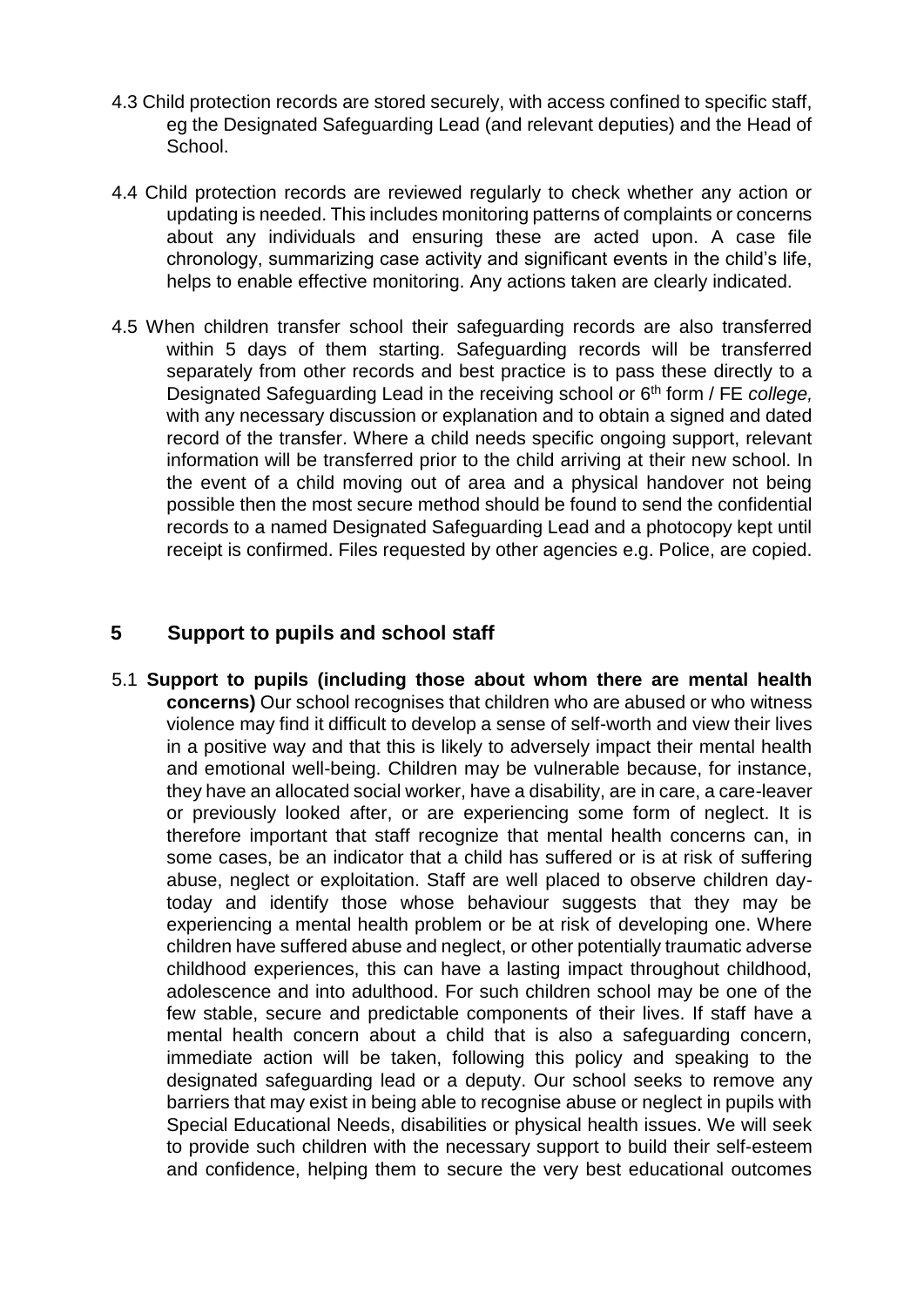- 4.3 Child protection records are stored securely, with access confined to specific staff, eg the Designated Safeguarding Lead (and relevant deputies) and the Head of School.
- 4.4 Child protection records are reviewed regularly to check whether any action or updating is needed. This includes monitoring patterns of complaints or concerns about any individuals and ensuring these are acted upon. A case file chronology, summarizing case activity and significant events in the child's life, helps to enable effective monitoring. Any actions taken are clearly indicated.
- 4.5 When children transfer school their safeguarding records are also transferred within 5 days of them starting. Safeguarding records will be transferred separately from other records and best practice is to pass these directly to a Designated Safeguarding Lead in the receiving school *o*r 6th form / FE *college,*  with any necessary discussion or explanation and to obtain a signed and dated record of the transfer. Where a child needs specific ongoing support, relevant information will be transferred prior to the child arriving at their new school. In the event of a child moving out of area and a physical handover not being possible then the most secure method should be found to send the confidential records to a named Designated Safeguarding Lead and a photocopy kept until receipt is confirmed. Files requested by other agencies e.g. Police, are copied.

# <span id="page-10-0"></span>**5 Support to pupils and school staff**

5.1 **Support to pupils (including those about whom there are mental health concerns)** Our school recognises that children who are abused or who witness violence may find it difficult to develop a sense of self-worth and view their lives in a positive way and that this is likely to adversely impact their mental health and emotional well-being. Children may be vulnerable because, for instance, they have an allocated social worker, have a disability, are in care, a care-leaver or previously looked after, or are experiencing some form of neglect. It is therefore important that staff recognize that mental health concerns can, in some cases, be an indicator that a child has suffered or is at risk of suffering abuse, neglect or exploitation. Staff are well placed to observe children daytoday and identify those whose behaviour suggests that they may be experiencing a mental health problem or be at risk of developing one. Where children have suffered abuse and neglect, or other potentially traumatic adverse childhood experiences, this can have a lasting impact throughout childhood, adolescence and into adulthood. For such children school may be one of the few stable, secure and predictable components of their lives. If staff have a mental health concern about a child that is also a safeguarding concern, immediate action will be taken, following this policy and speaking to the designated safeguarding lead or a deputy. Our school seeks to remove any barriers that may exist in being able to recognise abuse or neglect in pupils with Special Educational Needs, disabilities or physical health issues. We will seek to provide such children with the necessary support to build their self-esteem and confidence, helping them to secure the very best educational outcomes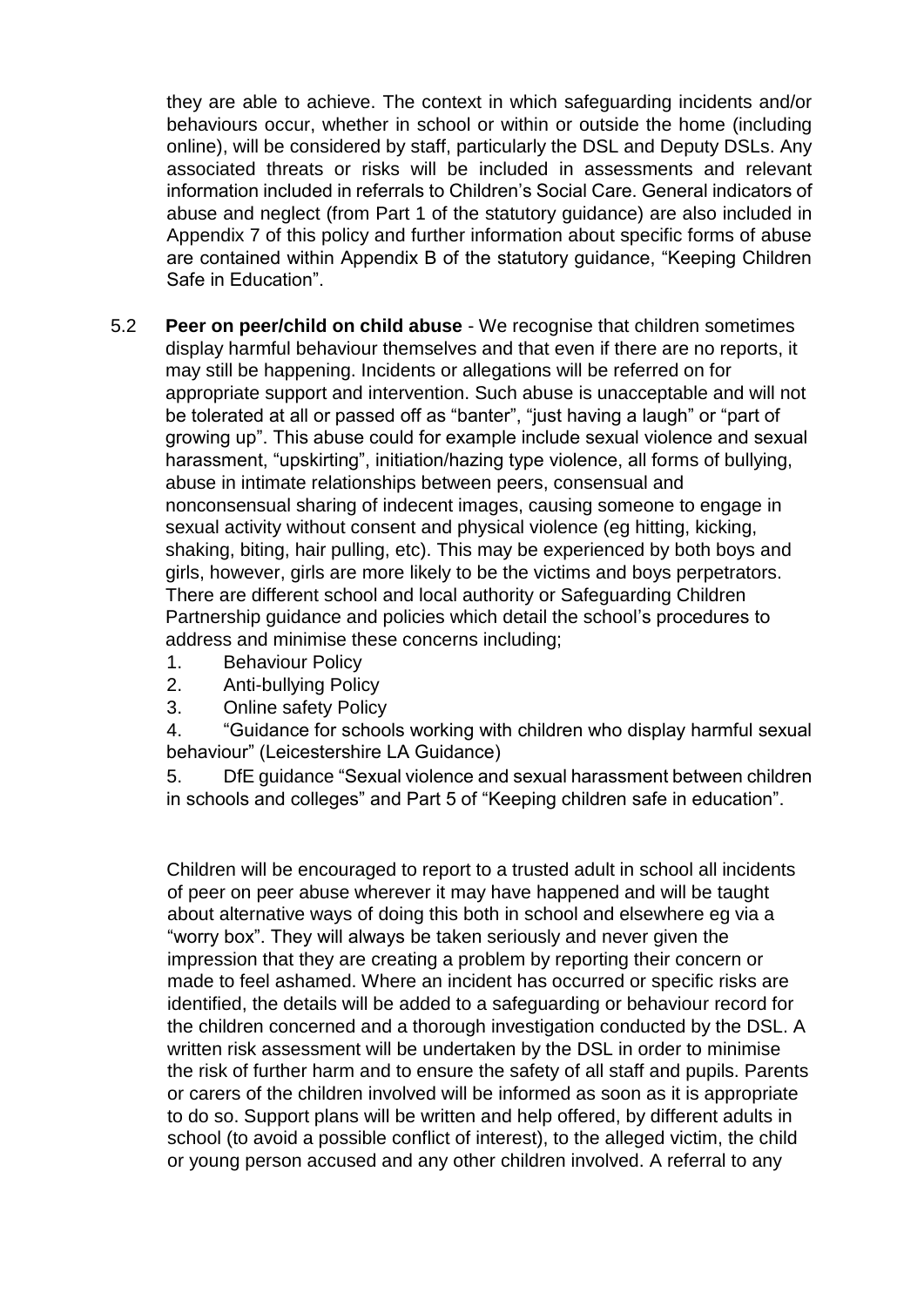they are able to achieve. The context in which safeguarding incidents and/or behaviours occur, whether in school or within or outside the home (including online), will be considered by staff, particularly the DSL and Deputy DSLs. Any associated threats or risks will be included in assessments and relevant information included in referrals to Children's Social Care. General indicators of abuse and neglect (from Part 1 of the statutory guidance) are also included in Appendix 7 of this policy and further information about specific forms of abuse are contained within Appendix B of the statutory guidance, "Keeping Children Safe in Education".

- 5.2 **Peer on peer/child on child abuse** We recognise that children sometimes display harmful behaviour themselves and that even if there are no reports, it may still be happening. Incidents or allegations will be referred on for appropriate support and intervention. Such abuse is unacceptable and will not be tolerated at all or passed off as "banter", "just having a laugh" or "part of growing up". This abuse could for example include sexual violence and sexual harassment, "upskirting", initiation/hazing type violence, all forms of bullying, abuse in intimate relationships between peers, consensual and nonconsensual sharing of indecent images, causing someone to engage in sexual activity without consent and physical violence (eg hitting, kicking, shaking, biting, hair pulling, etc). This may be experienced by both boys and girls, however, girls are more likely to be the victims and boys perpetrators. There are different school and local authority or Safeguarding Children Partnership guidance and policies which detail the school's procedures to address and minimise these concerns including;
	- 1. Behaviour Policy
	- 2. Anti-bullying Policy
	- 3. Online safety Policy
	- 4. "Guidance for schools working with children who display harmful sexual behaviour" (Leicestershire LA Guidance)

5. DfE guidance "Sexual violence and sexual harassment between children in schools and colleges" and Part 5 of "Keeping children safe in education".

Children will be encouraged to report to a trusted adult in school all incidents of peer on peer abuse wherever it may have happened and will be taught about alternative ways of doing this both in school and elsewhere eg via a "worry box". They will always be taken seriously and never given the impression that they are creating a problem by reporting their concern or made to feel ashamed. Where an incident has occurred or specific risks are identified, the details will be added to a safeguarding or behaviour record for the children concerned and a thorough investigation conducted by the DSL. A written risk assessment will be undertaken by the DSL in order to minimise the risk of further harm and to ensure the safety of all staff and pupils. Parents or carers of the children involved will be informed as soon as it is appropriate to do so. Support plans will be written and help offered, by different adults in school (to avoid a possible conflict of interest), to the alleged victim, the child or young person accused and any other children involved. A referral to any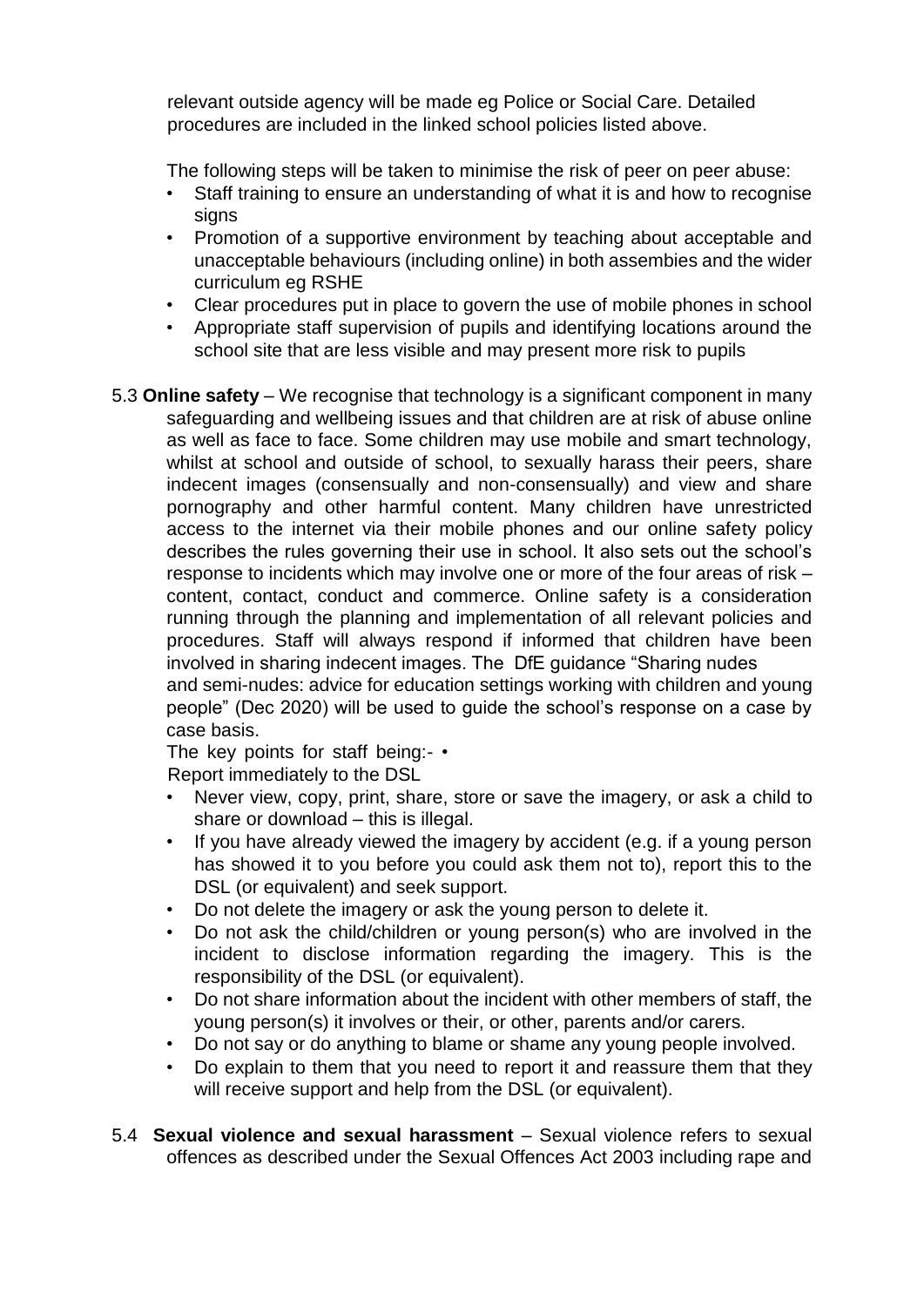relevant outside agency will be made eg Police or Social Care. Detailed procedures are included in the linked school policies listed above.

The following steps will be taken to minimise the risk of peer on peer abuse:

- Staff training to ensure an understanding of what it is and how to recognise signs
- Promotion of a supportive environment by teaching about acceptable and unacceptable behaviours (including online) in both assembies and the wider curriculum eg RSHE
- Clear procedures put in place to govern the use of mobile phones in school
- Appropriate staff supervision of pupils and identifying locations around the school site that are less visible and may present more risk to pupils
- 5.3 **Online safety**  We recognise that technology is a significant component in many safeguarding and wellbeing issues and that children are at risk of abuse online as well as face to face. Some children may use mobile and smart technology, whilst at school and outside of school, to sexually harass their peers, share indecent images (consensually and non-consensually) and view and share pornography and other harmful content. Many children have unrestricted access to the internet via their mobile phones and our online safety policy describes the rules governing their use in school. It also sets out the school's response to incidents which may involve one or more of the four areas of risk – content, contact, conduct and commerce. Online safety is a consideration running through the planning and implementation of all relevant policies and procedures. Staff will always respond if informed that children have been involved in sharing indecent images. The DfE guidance "Sharing nudes and semi-nudes: advice for education settings working with children and young people" (Dec 2020) will be used to guide the school's response on a case by case basis.

The key points for staff being: •

Report immediately to the DSL

- Never view, copy, print, share, store or save the imagery, or ask a child to share or download – this is illegal.
- If you have already viewed the imagery by accident (e.g. if a young person has showed it to you before you could ask them not to), report this to the DSL (or equivalent) and seek support.
- Do not delete the imagery or ask the young person to delete it.
- Do not ask the child/children or young person(s) who are involved in the incident to disclose information regarding the imagery. This is the responsibility of the DSL (or equivalent).
- Do not share information about the incident with other members of staff, the young person(s) it involves or their, or other, parents and/or carers.
- Do not say or do anything to blame or shame any young people involved.
- Do explain to them that you need to report it and reassure them that they will receive support and help from the DSL (or equivalent).
- 5.4 **Sexual violence and sexual harassment** Sexual violence refers to sexual offences as described under the Sexual Offences Act 2003 including rape and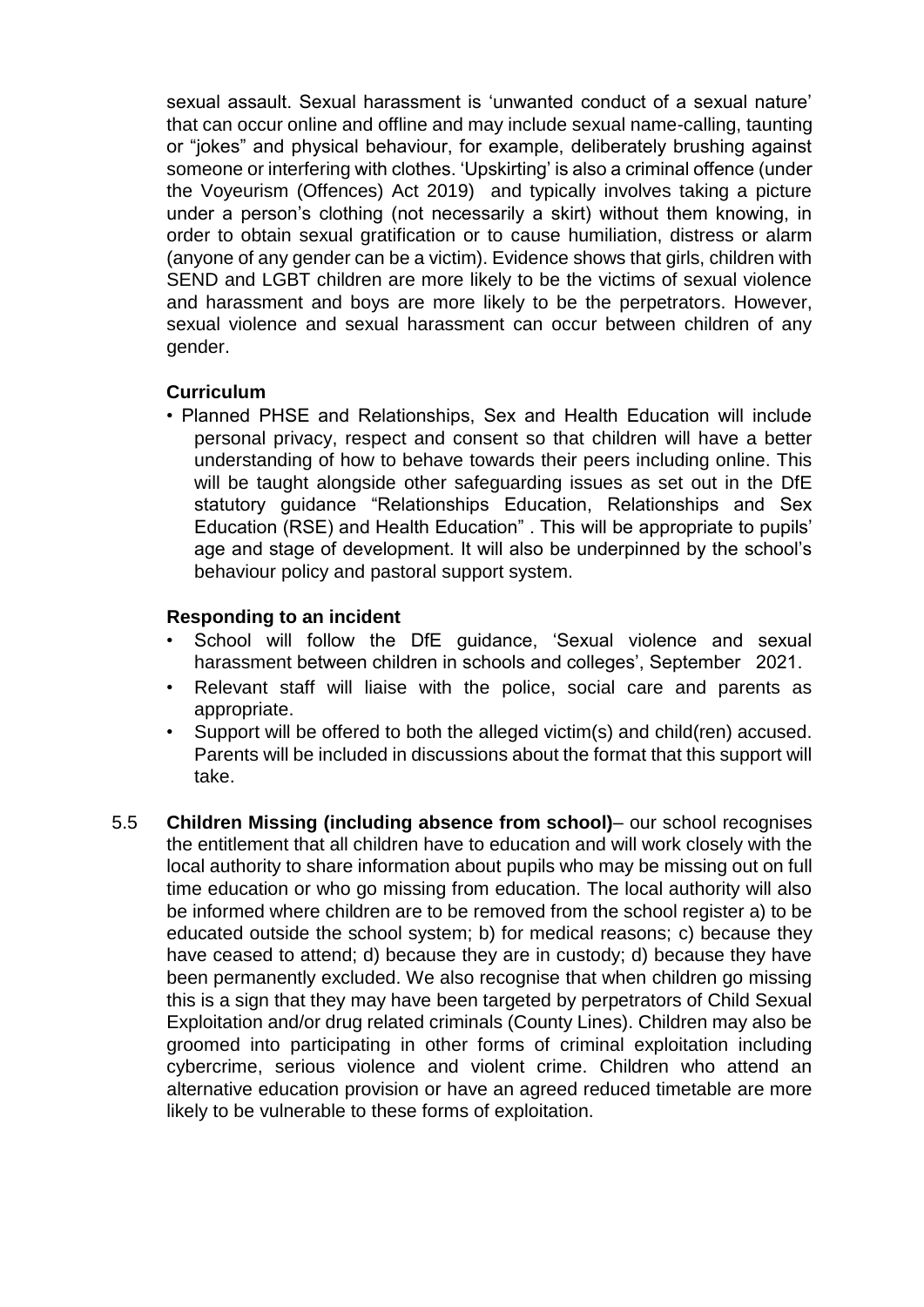sexual assault. Sexual harassment is 'unwanted conduct of a sexual nature' that can occur online and offline and may include sexual name-calling, taunting or "jokes" and physical behaviour, for example, deliberately brushing against someone or interfering with clothes. 'Upskirting' is also a criminal offence (under the Voyeurism (Offences) Act 2019) and typically involves taking a picture under a person's clothing (not necessarily a skirt) without them knowing, in order to obtain sexual gratification or to cause humiliation, distress or alarm (anyone of any gender can be a victim). Evidence shows that girls, children with SEND and LGBT children are more likely to be the victims of sexual violence and harassment and boys are more likely to be the perpetrators. However, sexual violence and sexual harassment can occur between children of any gender.

#### **Curriculum**

• Planned PHSE and Relationships, Sex and Health Education will include personal privacy, respect and consent so that children will have a better understanding of how to behave towards their peers including online. This will be taught alongside other safeguarding issues as set out in the DfE statutory guidance "Relationships Education, Relationships and Sex Education (RSE) and Health Education" . This will be appropriate to pupils' age and stage of development. It will also be underpinned by the school's behaviour policy and pastoral support system.

#### **Responding to an incident**

- School will follow the DfE guidance, 'Sexual violence and sexual harassment between children in schools and colleges', September 2021.
- Relevant staff will liaise with the police, social care and parents as appropriate.
- Support will be offered to both the alleged victim(s) and child(ren) accused. Parents will be included in discussions about the format that this support will take.
- 5.5 **Children Missing (including absence from school)** our school recognises the entitlement that all children have to education and will work closely with the local authority to share information about pupils who may be missing out on full time education or who go missing from education. The local authority will also be informed where children are to be removed from the school register a) to be educated outside the school system; b) for medical reasons; c) because they have ceased to attend; d) because they are in custody; d) because they have been permanently excluded. We also recognise that when children go missing this is a sign that they may have been targeted by perpetrators of Child Sexual Exploitation and/or drug related criminals (County Lines). Children may also be groomed into participating in other forms of criminal exploitation including cybercrime, serious violence and violent crime. Children who attend an alternative education provision or have an agreed reduced timetable are more likely to be vulnerable to these forms of exploitation.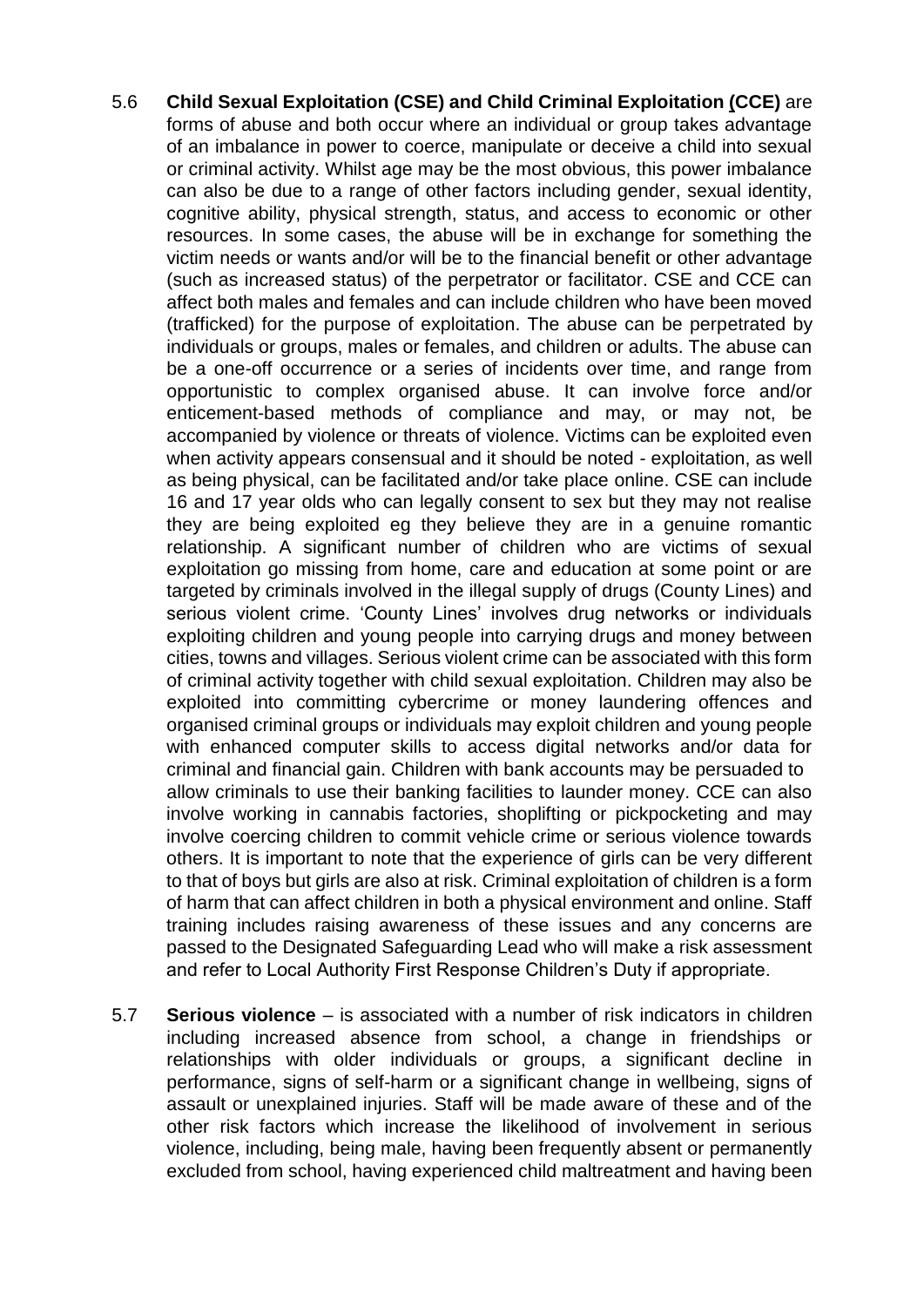- 5.6 **Child Sexual Exploitation (CSE) and Child Criminal Exploitation (CCE)** are forms of abuse and both occur where an individual or group takes advantage of an imbalance in power to coerce, manipulate or deceive a child into sexual or criminal activity. Whilst age may be the most obvious, this power imbalance can also be due to a range of other factors including gender, sexual identity, cognitive ability, physical strength, status, and access to economic or other resources. In some cases, the abuse will be in exchange for something the victim needs or wants and/or will be to the financial benefit or other advantage (such as increased status) of the perpetrator or facilitator. CSE and CCE can affect both males and females and can include children who have been moved (trafficked) for the purpose of exploitation. The abuse can be perpetrated by individuals or groups, males or females, and children or adults. The abuse can be a one-off occurrence or a series of incidents over time, and range from opportunistic to complex organised abuse. It can involve force and/or enticement-based methods of compliance and may, or may not, be accompanied by violence or threats of violence. Victims can be exploited even when activity appears consensual and it should be noted - exploitation, as well as being physical, can be facilitated and/or take place online. CSE can include 16 and 17 year olds who can legally consent to sex but they may not realise they are being exploited eg they believe they are in a genuine romantic relationship. A significant number of children who are victims of sexual exploitation go missing from home, care and education at some point or are targeted by criminals involved in the illegal supply of drugs (County Lines) and serious violent crime. 'County Lines' involves drug networks or individuals exploiting children and young people into carrying drugs and money between cities, towns and villages. Serious violent crime can be associated with this form of criminal activity together with child sexual exploitation. Children may also be exploited into committing cybercrime or money laundering offences and organised criminal groups or individuals may exploit children and young people with enhanced computer skills to access digital networks and/or data for criminal and financial gain. Children with bank accounts may be persuaded to allow criminals to use their banking facilities to launder money. CCE can also involve working in cannabis factories, shoplifting or pickpocketing and may involve coercing children to commit vehicle crime or serious violence towards others. It is important to note that the experience of girls can be very different to that of boys but girls are also at risk. Criminal exploitation of children is a form of harm that can affect children in both a physical environment and online. Staff training includes raising awareness of these issues and any concerns are passed to the Designated Safeguarding Lead who will make a risk assessment and refer to Local Authority First Response Children's Duty if appropriate.
- 5.7 **Serious violence** is associated with a number of risk indicators in children including increased absence from school, a change in friendships or relationships with older individuals or groups, a significant decline in performance, signs of self-harm or a significant change in wellbeing, signs of assault or unexplained injuries. Staff will be made aware of these and of the other risk factors which increase the likelihood of involvement in serious violence, including, being male, having been frequently absent or permanently excluded from school, having experienced child maltreatment and having been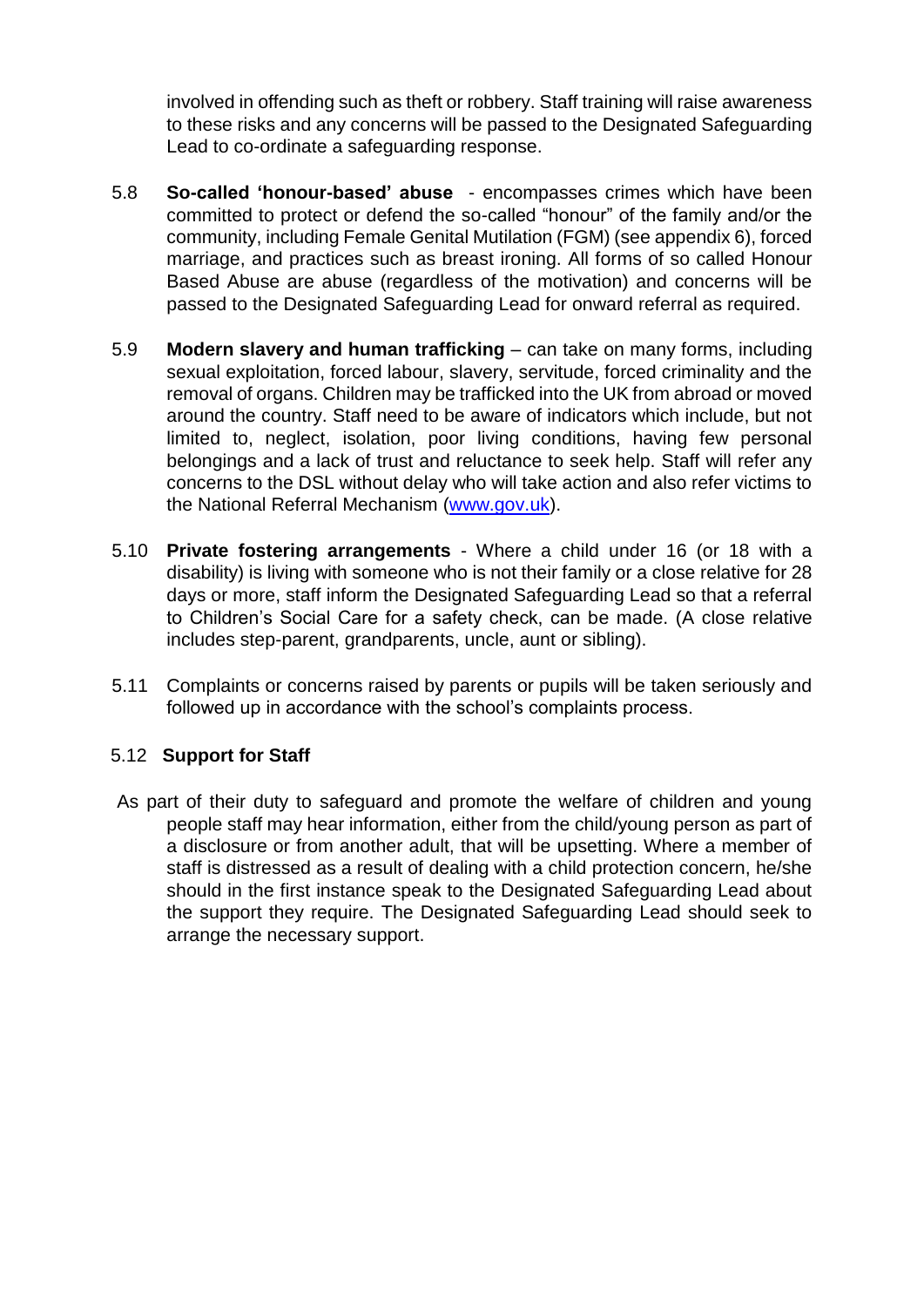involved in offending such as theft or robbery. Staff training will raise awareness to these risks and any concerns will be passed to the Designated Safeguarding Lead to co-ordinate a safeguarding response.

- 5.8 **So-called 'honour-based' abuse** encompasses crimes which have been committed to protect or defend the so-called "honour" of the family and/or the community, including Female Genital Mutilation (FGM) (see appendix 6), forced marriage, and practices such as breast ironing. All forms of so called Honour Based Abuse are abuse (regardless of the motivation) and concerns will be passed to the Designated Safeguarding Lead for onward referral as required.
- 5.9 **Modern slavery and human trafficking** can take on many forms, including sexual exploitation, forced labour, slavery, servitude, forced criminality and the removal of organs. Children may be trafficked into the UK from abroad or moved around the country. Staff need to be aware of indicators which include, but not limited to, neglect, isolation, poor living conditions, having few personal belongings and a lack of trust and reluctance to seek help. Staff will refer any concerns to the DSL without delay who will take action and also refer victims to the National Referral Mechanism [\(www.gov.uk\).](http://www.gov.uk/)
- 5.10 **Private fostering arrangements** Where a child under 16 (or 18 with a disability) is living with someone who is not their family or a close relative for 28 days or more, staff inform the Designated Safeguarding Lead so that a referral to Children's Social Care for a safety check, can be made. (A close relative includes step-parent, grandparents, uncle, aunt or sibling).
- 5.11 Complaints or concerns raised by parents or pupils will be taken seriously and followed up in accordance with the school's complaints process.

#### 5.12 **Support for Staff**

As part of their duty to safeguard and promote the welfare of children and young people staff may hear information, either from the child/young person as part of a disclosure or from another adult, that will be upsetting. Where a member of staff is distressed as a result of dealing with a child protection concern, he/she should in the first instance speak to the Designated Safeguarding Lead about the support they require. The Designated Safeguarding Lead should seek to arrange the necessary support.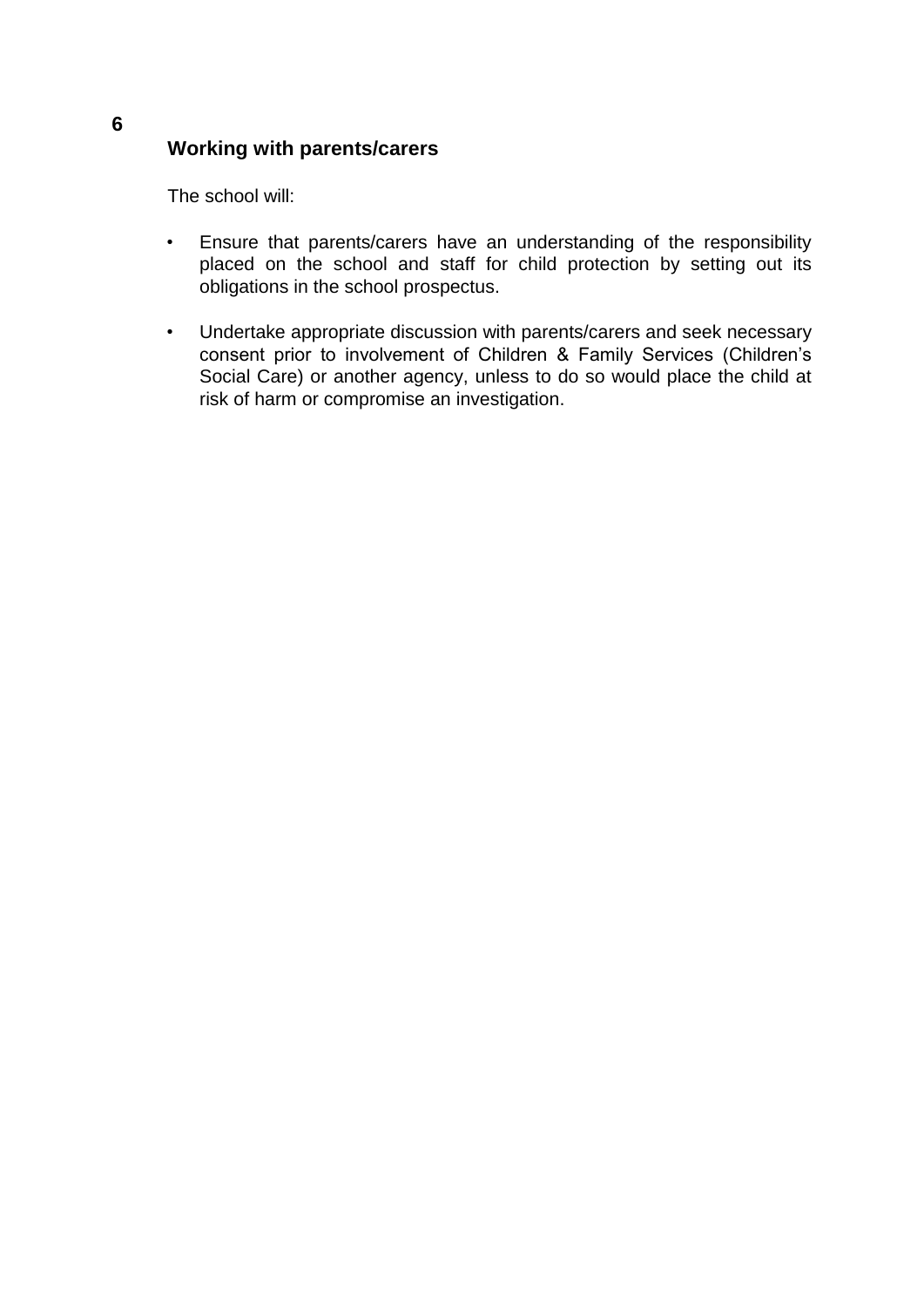# **Working with parents/carers**

The school will:

- Ensure that parents/carers have an understanding of the responsibility placed on the school and staff for child protection by setting out its obligations in the school prospectus.
- Undertake appropriate discussion with parents/carers and seek necessary consent prior to involvement of Children & Family Services (Children's Social Care) or another agency, unless to do so would place the child at risk of harm or compromise an investigation.

**6**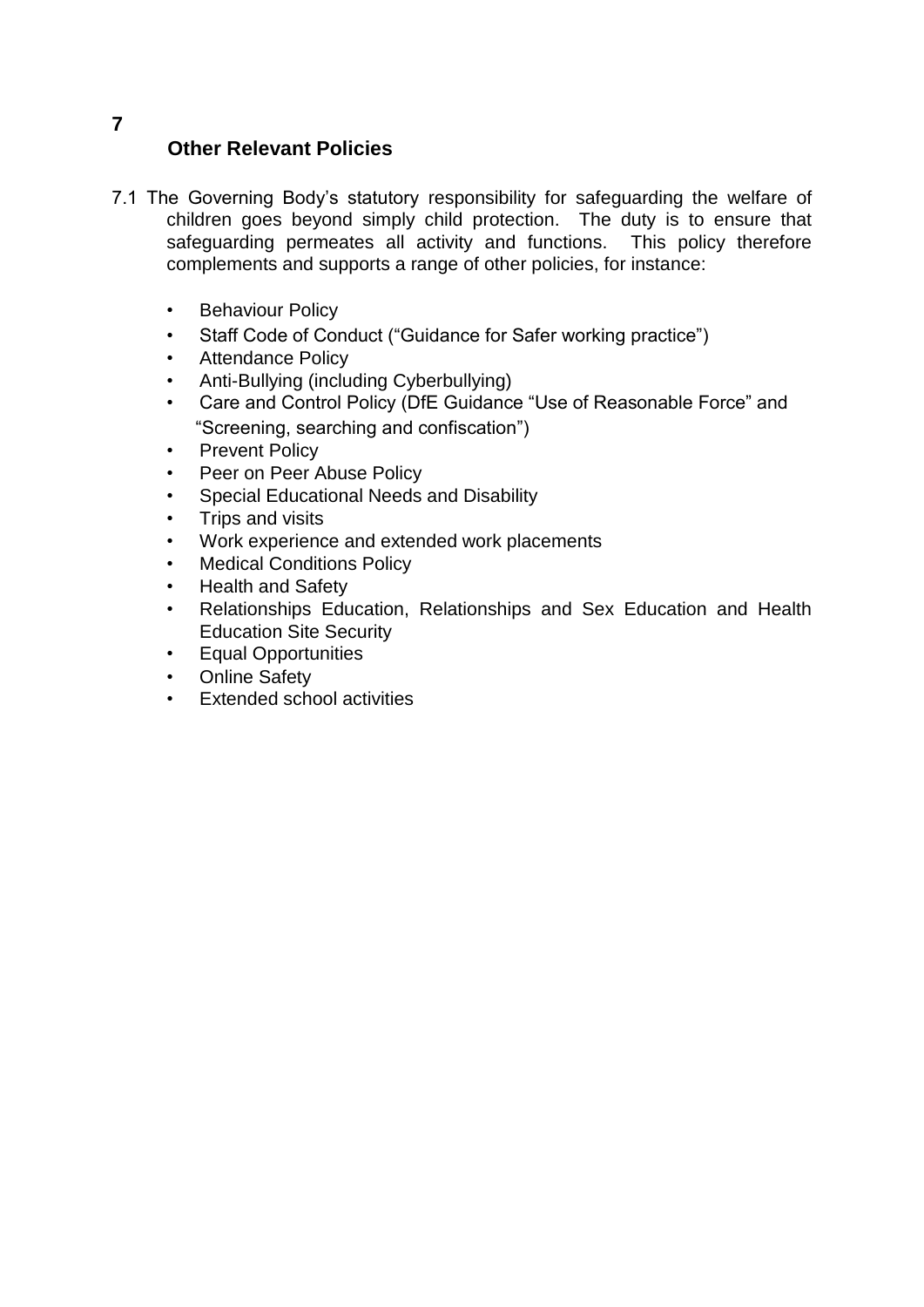# **Other Relevant Policies**

- 7.1 The Governing Body's statutory responsibility for safeguarding the welfare of children goes beyond simply child protection. The duty is to ensure that safeguarding permeates all activity and functions. This policy therefore complements and supports a range of other policies, for instance:
	- **Behaviour Policy**
	- Staff Code of Conduct ("Guidance for Safer working practice")
	- Attendance Policy
	- Anti-Bullying (including Cyberbullying)
	- Care and Control Policy (DfE Guidance "Use of Reasonable Force" and "Screening, searching and confiscation")
	- **Prevent Policy**
	- Peer on Peer Abuse Policy
	- Special Educational Needs and Disability
	- Trips and visits
	- Work experience and extended work placements
	- **Medical Conditions Policy**
	- Health and Safety
	- Relationships Education, Relationships and Sex Education and Health Education Site Security
	- Equal Opportunities
	- **Online Safety**
	- Extended school activities

**7**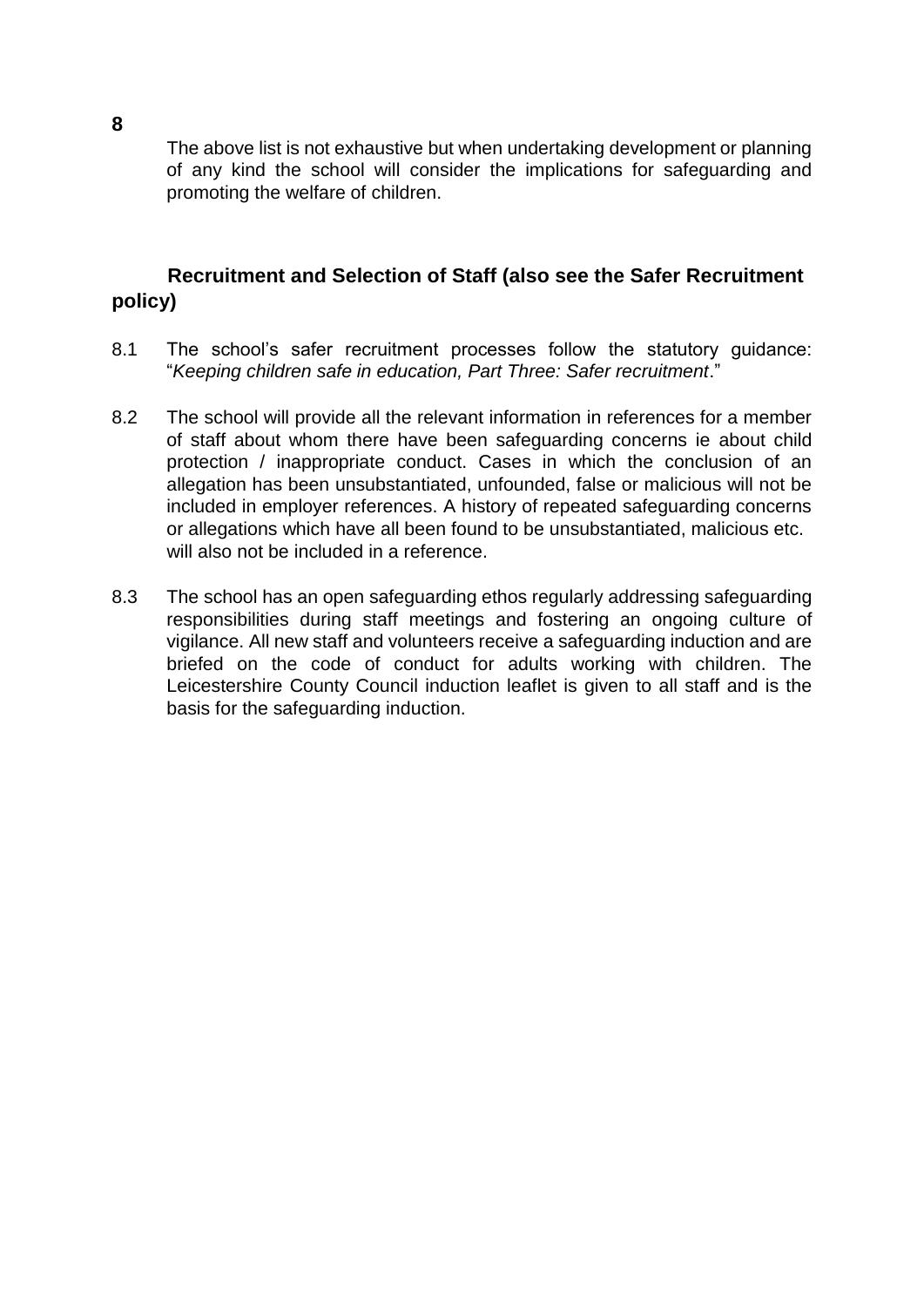The above list is not exhaustive but when undertaking development or planning of any kind the school will consider the implications for safeguarding and promoting the welfare of children.

#### **Recruitment and Selection of Staff (also see the Safer Recruitment policy)**

- 8.1 The school's safer recruitment processes follow the statutory guidance: "*Keeping children safe in education, Part Three: Safer recruitment*."
- 8.2 The school will provide all the relevant information in references for a member of staff about whom there have been safeguarding concerns ie about child protection / inappropriate conduct. Cases in which the conclusion of an allegation has been unsubstantiated, unfounded, false or malicious will not be included in employer references. A history of repeated safeguarding concerns or allegations which have all been found to be unsubstantiated, malicious etc. will also not be included in a reference.
- 8.3 The school has an open safeguarding ethos regularly addressing safeguarding responsibilities during staff meetings and fostering an ongoing culture of vigilance. All new staff and volunteers receive a safeguarding induction and are briefed on the code of conduct for adults working with children. The Leicestershire County Council induction leaflet is given to all staff and is the basis for the safeguarding induction.

**8**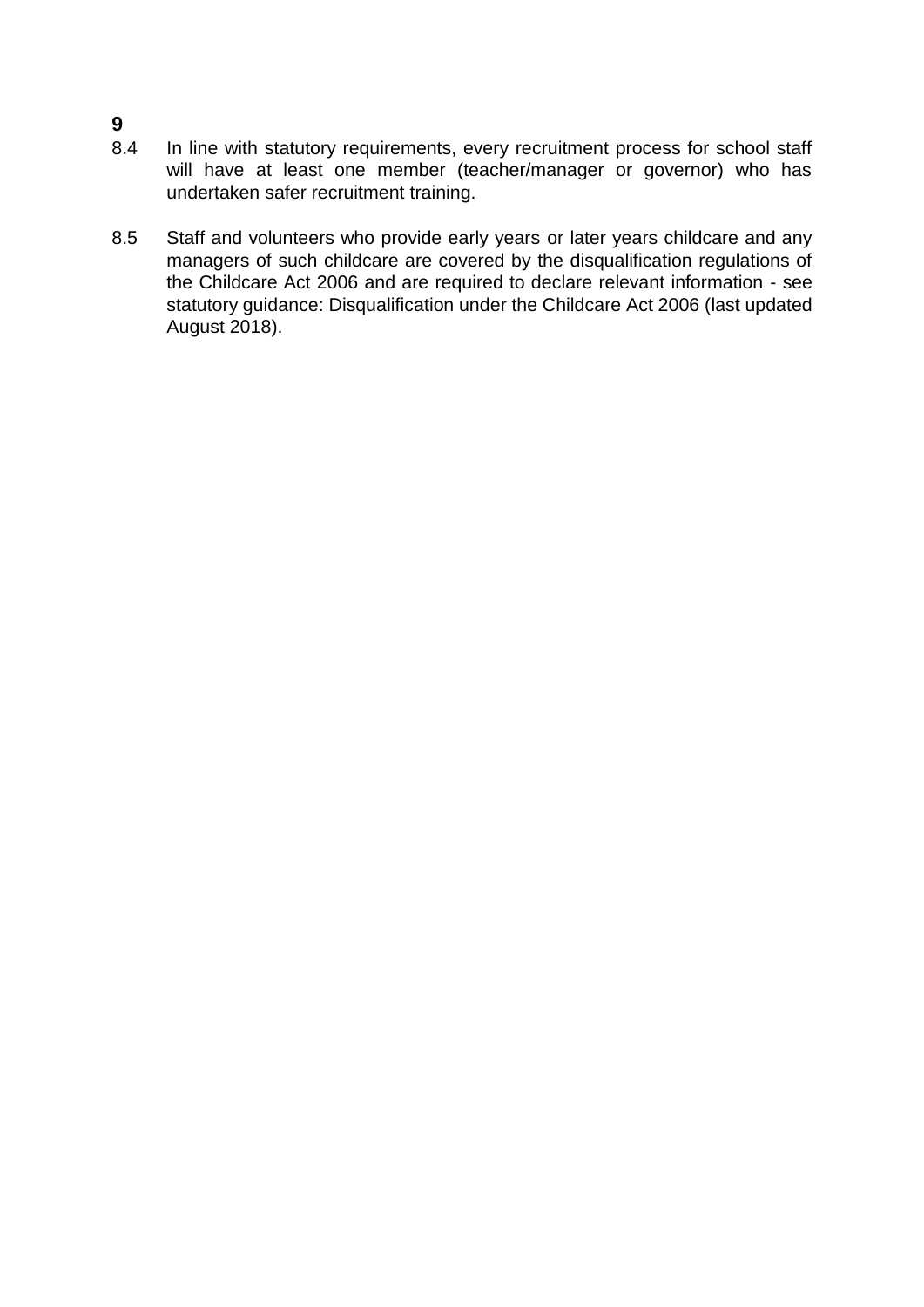- **9**
- 8.4 In line with statutory requirements, every recruitment process for school staff will have at least one member (teacher/manager or governor) who has undertaken safer recruitment training.
- 8.5 Staff and volunteers who provide early years or later years childcare and any managers of such childcare are covered by the disqualification regulations of the Childcare Act 2006 and are required to declare relevant information - see statutory guidance: Disqualification under the Childcare Act 2006 (last updated August 2018).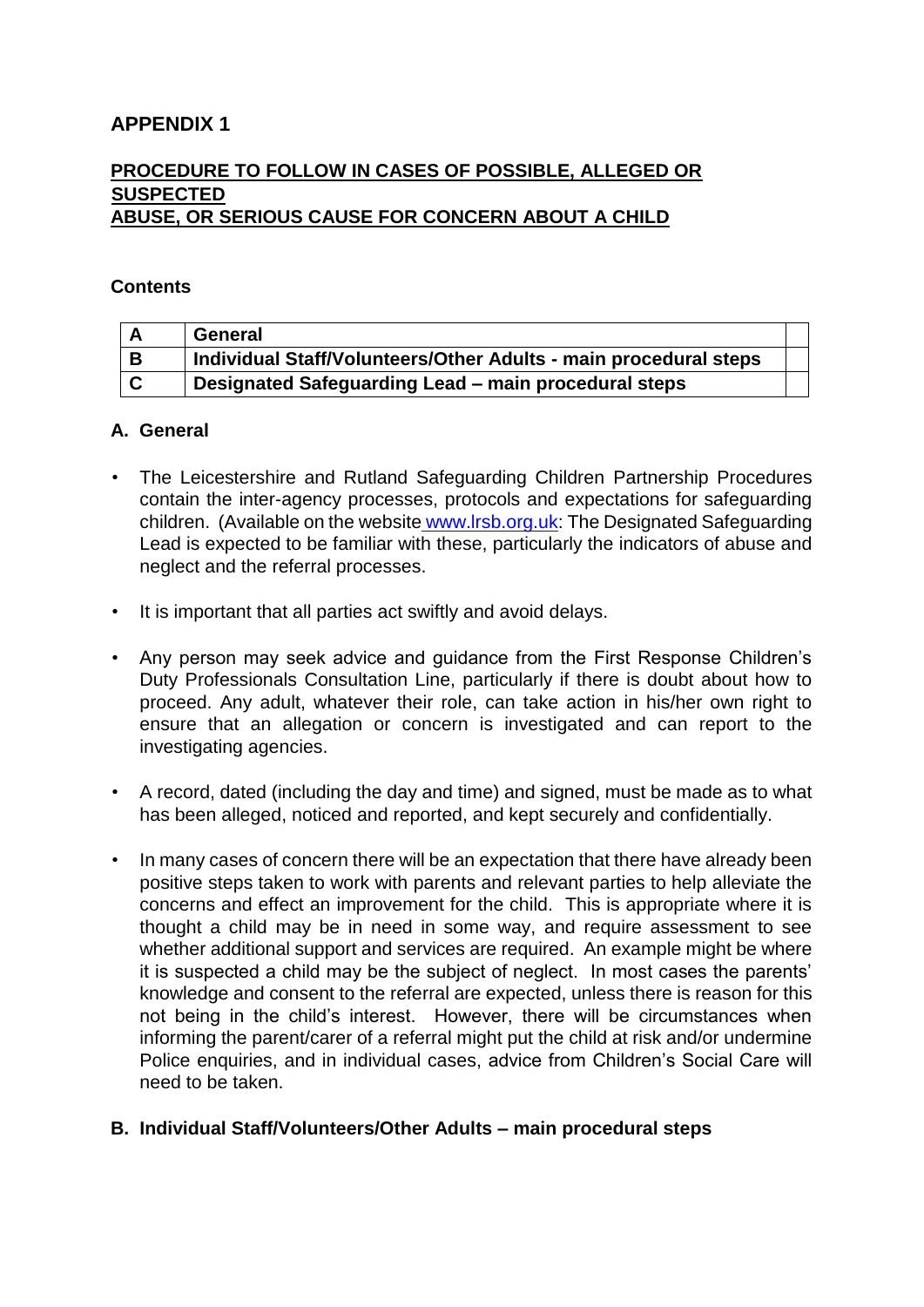# **APPENDIX 1**

#### **PROCEDURE TO FOLLOW IN CASES OF POSSIBLE, ALLEGED OR SUSPECTED ABUSE, OR SERIOUS CAUSE FOR CONCERN ABOUT A CHILD**

#### **Contents**

| ' A | General                                                          |  |
|-----|------------------------------------------------------------------|--|
| B   | Individual Staff/Volunteers/Other Adults - main procedural steps |  |
|     | Designated Safeguarding Lead – main procedural steps             |  |

#### **A. General**

- The Leicestershire and Rutland Safeguarding Children Partnership Procedures contain the inter-agency processes, protocols and expectations for safeguarding children. (Available on the websit[e](http://www.lrsb.org.uk/) [www.lrsb.org.uk:](http://www.lrsb.org.uk/) The Designated Safeguarding Lead is expected to be familiar with these, particularly the indicators of abuse and neglect and the referral processes.
- It is important that all parties act swiftly and avoid delays.
- Any person may seek advice and guidance from the First Response Children's Duty Professionals Consultation Line, particularly if there is doubt about how to proceed. Any adult, whatever their role, can take action in his/her own right to ensure that an allegation or concern is investigated and can report to the investigating agencies.
- A record, dated (including the day and time) and signed, must be made as to what has been alleged, noticed and reported, and kept securely and confidentially.
- In many cases of concern there will be an expectation that there have already been positive steps taken to work with parents and relevant parties to help alleviate the concerns and effect an improvement for the child. This is appropriate where it is thought a child may be in need in some way, and require assessment to see whether additional support and services are required. An example might be where it is suspected a child may be the subject of neglect. In most cases the parents' knowledge and consent to the referral are expected, unless there is reason for this not being in the child's interest. However, there will be circumstances when informing the parent/carer of a referral might put the child at risk and/or undermine Police enquiries, and in individual cases, advice from Children's Social Care will need to be taken.

#### **B. Individual Staff/Volunteers/Other Adults – main procedural steps**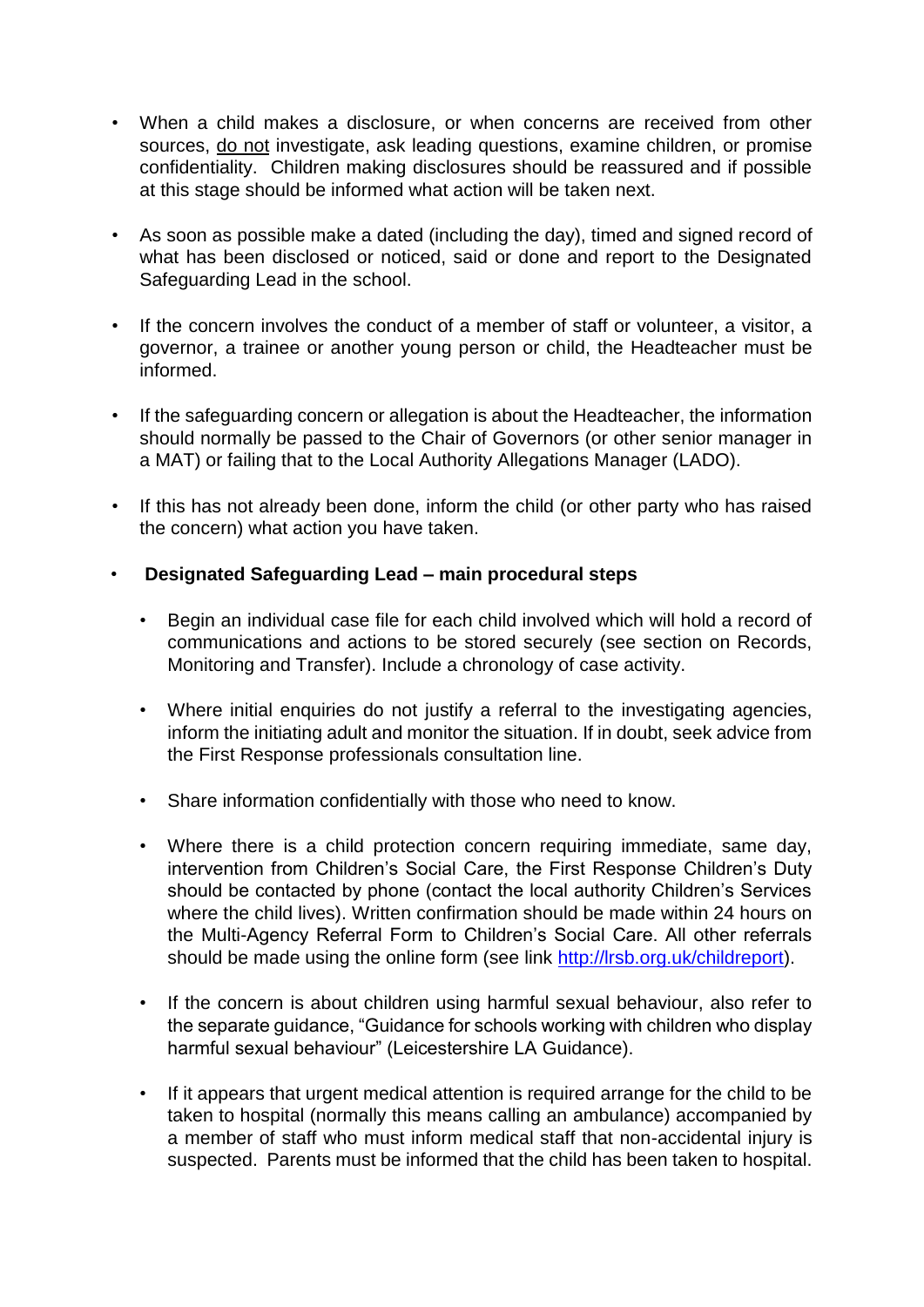- When a child makes a disclosure, or when concerns are received from other sources, do not investigate, ask leading questions, examine children, or promise confidentiality. Children making disclosures should be reassured and if possible at this stage should be informed what action will be taken next.
- As soon as possible make a dated (including the day), timed and signed record of what has been disclosed or noticed, said or done and report to the Designated Safeguarding Lead in the school.
- If the concern involves the conduct of a member of staff or volunteer, a visitor, a governor, a trainee or another young person or child, the Headteacher must be informed.
- If the safeguarding concern or allegation is about the Headteacher, the information should normally be passed to the Chair of Governors (or other senior manager in a MAT) or failing that to the Local Authority Allegations Manager (LADO).
- If this has not already been done, inform the child (or other party who has raised the concern) what action you have taken.

#### • **Designated Safeguarding Lead – main procedural steps**

- Begin an individual case file for each child involved which will hold a record of communications and actions to be stored securely (see section on Records, Monitoring and Transfer). Include a chronology of case activity.
- Where initial enquiries do not justify a referral to the investigating agencies, inform the initiating adult and monitor the situation. If in doubt, seek advice from the First Response professionals consultation line.
- Share information confidentially with those who need to know.
- Where there is a child protection concern requiring immediate, same day, intervention from Children's Social Care, the First Response Children's Duty should be contacted by phone (contact the local authority Children's Services where the child lives). Written confirmation should be made within 24 hours on the Multi-Agency Referral Form to Children's Social Care. All other referrals should be made using the online form (see link [http://lrsb.org.uk/childreport\).](http://lrsb.org.uk/childreport)
- If the concern is about children using harmful sexual behaviour, also refer to the separate guidance, "Guidance for schools working with children who display harmful sexual behaviour" (Leicestershire LA Guidance).
- If it appears that urgent medical attention is required arrange for the child to be taken to hospital (normally this means calling an ambulance) accompanied by a member of staff who must inform medical staff that non-accidental injury is suspected. Parents must be informed that the child has been taken to hospital.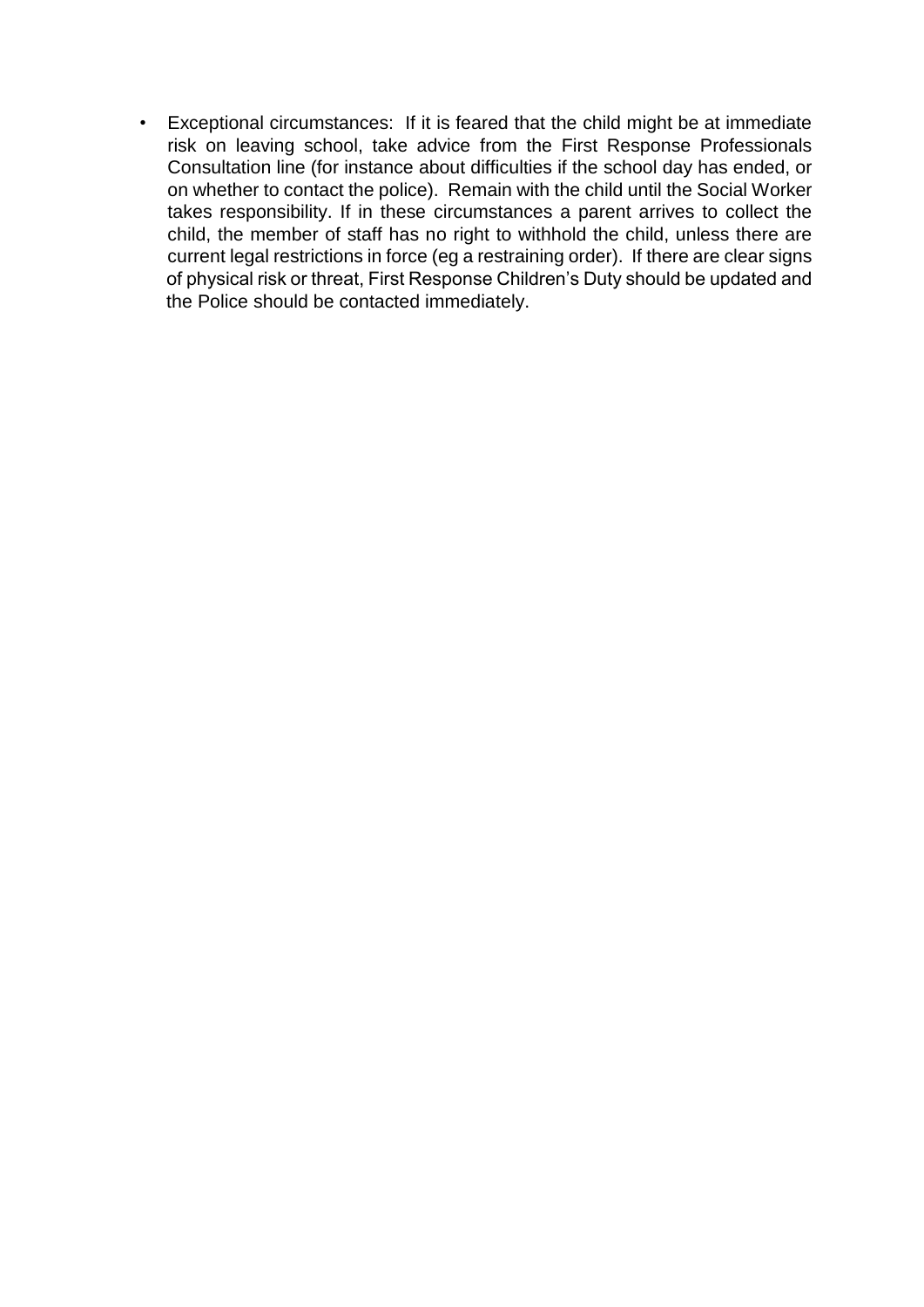• Exceptional circumstances: If it is feared that the child might be at immediate risk on leaving school, take advice from the First Response Professionals Consultation line (for instance about difficulties if the school day has ended, or on whether to contact the police). Remain with the child until the Social Worker takes responsibility. If in these circumstances a parent arrives to collect the child, the member of staff has no right to withhold the child, unless there are current legal restrictions in force (eg a restraining order). If there are clear signs of physical risk or threat, First Response Children's Duty should be updated and the Police should be contacted immediately.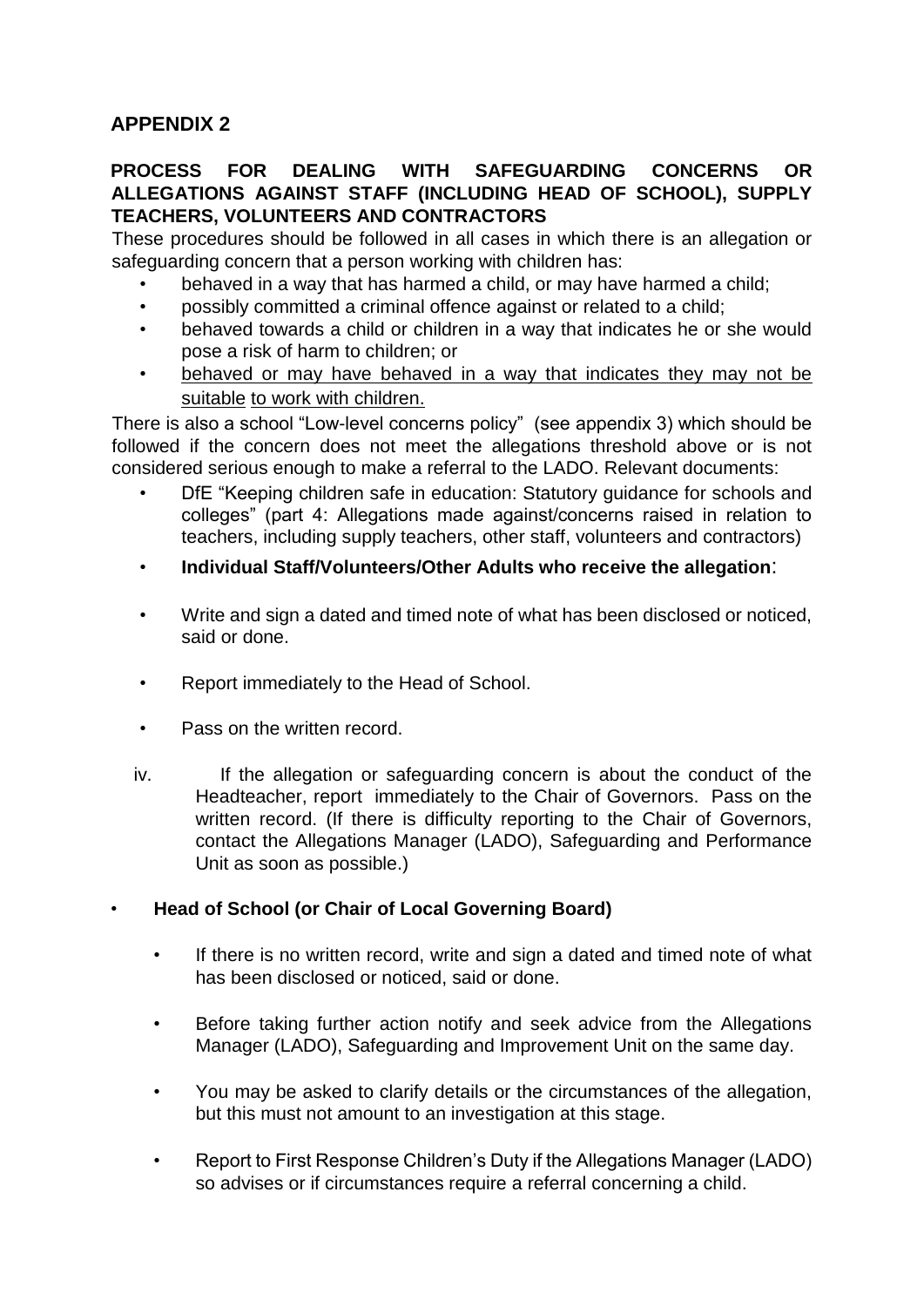# **APPENDIX 2**

#### **PROCESS FOR DEALING WITH SAFEGUARDING CONCERNS OR ALLEGATIONS AGAINST STAFF (INCLUDING HEAD OF SCHOOL), SUPPLY TEACHERS, VOLUNTEERS AND CONTRACTORS**

These procedures should be followed in all cases in which there is an allegation or safeguarding concern that a person working with children has:

- behaved in a way that has harmed a child, or may have harmed a child;
- possibly committed a criminal offence against or related to a child;
- behaved towards a child or children in a way that indicates he or she would pose a risk of harm to children; or
- behaved or may have behaved in a way that indicates they may not be suitable to work with children.

There is also a school "Low-level concerns policy" (see appendix 3) which should be followed if the concern does not meet the allegations threshold above or is not considered serious enough to make a referral to the LADO. Relevant documents:

- DfE "Keeping children safe in education: Statutory guidance for schools and colleges" (part 4: Allegations made against/concerns raised in relation to teachers, including supply teachers, other staff, volunteers and contractors)
- **Individual Staff/Volunteers/Other Adults who receive the allegation**:
- Write and sign a dated and timed note of what has been disclosed or noticed, said or done.
- Report immediately to the Head of School.
- Pass on the written record.
- iv. If the allegation or safeguarding concern is about the conduct of the Headteacher, report immediately to the Chair of Governors. Pass on the written record. (If there is difficulty reporting to the Chair of Governors, contact the Allegations Manager (LADO), Safeguarding and Performance Unit as soon as possible.)

#### • **Head of School (or Chair of Local Governing Board)**

- If there is no written record, write and sign a dated and timed note of what has been disclosed or noticed, said or done.
- Before taking further action notify and seek advice from the Allegations Manager (LADO), Safeguarding and Improvement Unit on the same day.
- You may be asked to clarify details or the circumstances of the allegation, but this must not amount to an investigation at this stage.
- Report to First Response Children's Duty if the Allegations Manager (LADO) so advises or if circumstances require a referral concerning a child.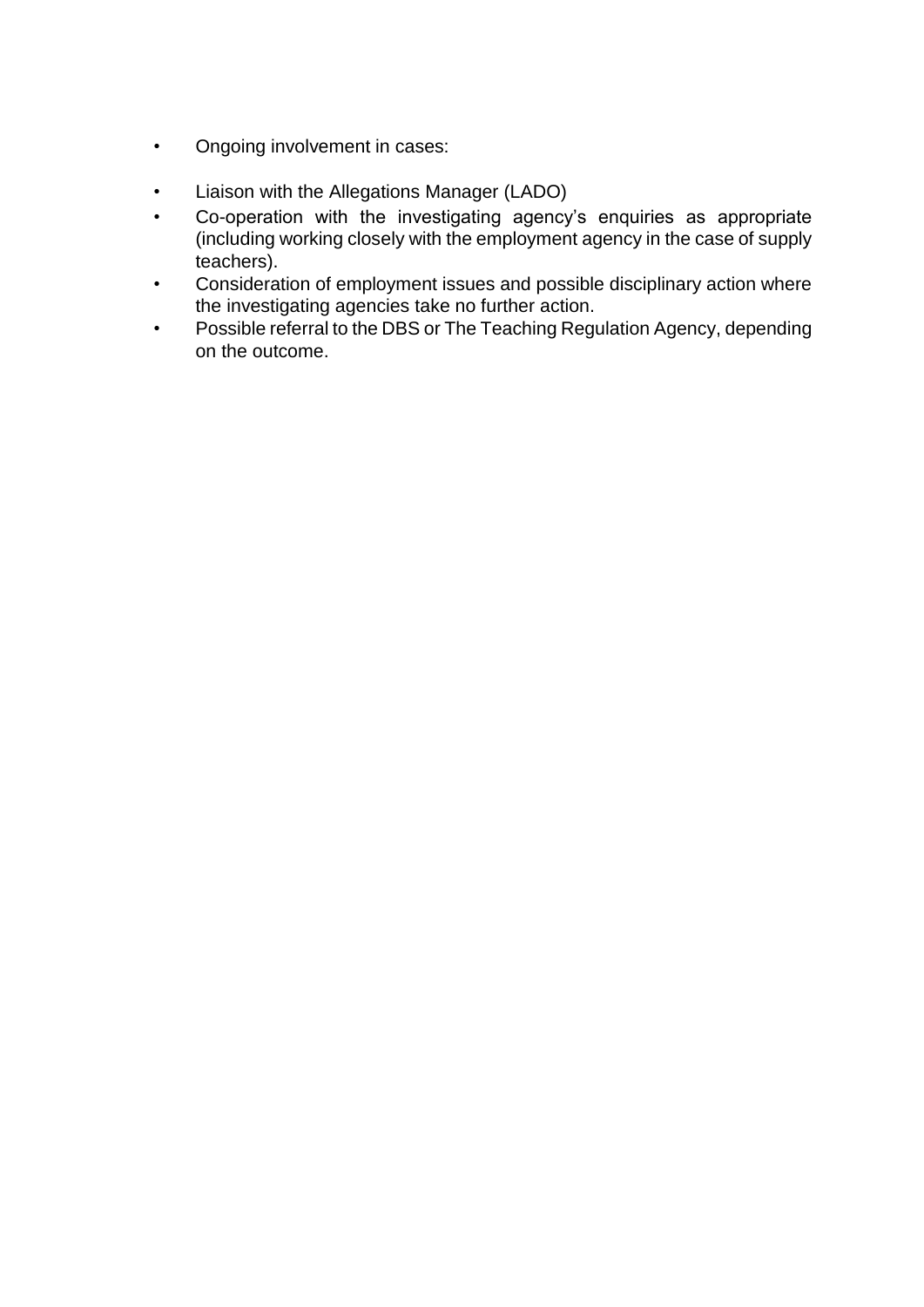- Ongoing involvement in cases:
- Liaison with the Allegations Manager (LADO)
- Co-operation with the investigating agency's enquiries as appropriate (including working closely with the employment agency in the case of supply teachers).
- Consideration of employment issues and possible disciplinary action where the investigating agencies take no further action.
- Possible referral to the DBS or The Teaching Regulation Agency, depending on the outcome.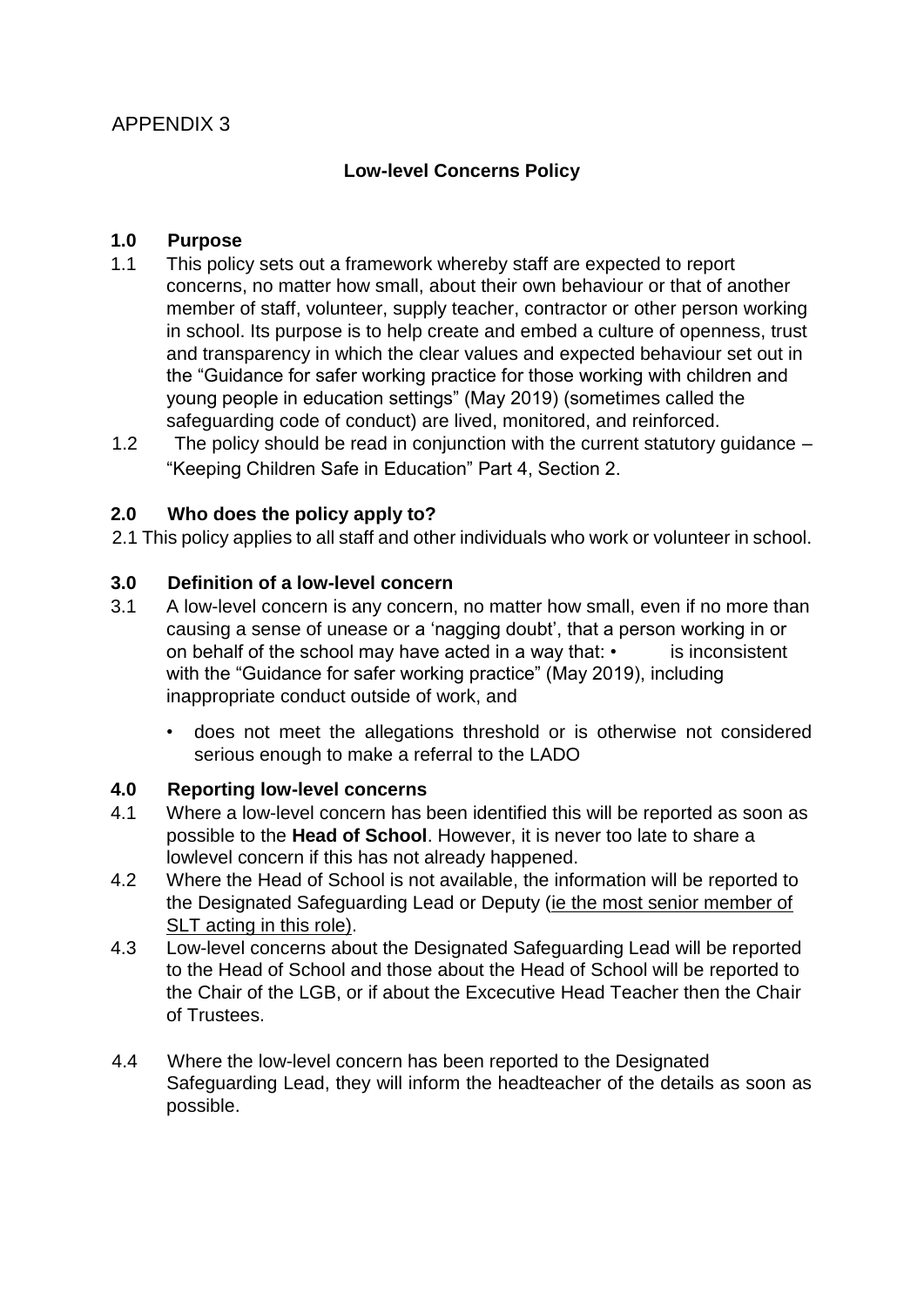# APPENDIX 3

#### **Low-level Concerns Policy**

#### **1.0 Purpose**

- 1.1 This policy sets out a framework whereby staff are expected to report concerns, no matter how small, about their own behaviour or that of another member of staff, volunteer, supply teacher, contractor or other person working in school. Its purpose is to help create and embed a culture of openness, trust and transparency in which the clear values and expected behaviour set out in the "Guidance for safer working practice for those working with children and young people in education settings" (May 2019) (sometimes called the safeguarding code of conduct) are lived, monitored, and reinforced.
- 1.2 The policy should be read in conjunction with the current statutory guidance "Keeping Children Safe in Education" Part 4, Section 2.

#### **2.0 Who does the policy apply to?**

2.1 This policy applies to all staff and other individuals who work or volunteer in school.

#### **3.0 Definition of a low-level concern**

- 3.1 A low-level concern is any concern, no matter how small, even if no more than causing a sense of unease or a 'nagging doubt', that a person working in or on behalf of the school may have acted in a way that: • is inconsistent with the "Guidance for safer working practice" (May 2019), including inappropriate conduct outside of work, and
	- does not meet the allegations threshold or is otherwise not considered serious enough to make a referral to the LADO

#### **4.0 Reporting low-level concerns**

- 4.1 Where a low-level concern has been identified this will be reported as soon as possible to the **Head of School**. However, it is never too late to share a lowlevel concern if this has not already happened.
- 4.2 Where the Head of School is not available, the information will be reported to the Designated Safeguarding Lead or Deputy (ie the most senior member of SLT acting in this role).
- 4.3 Low-level concerns about the Designated Safeguarding Lead will be reported to the Head of School and those about the Head of School will be reported to the Chair of the LGB, or if about the Excecutive Head Teacher then the Chair of Trustees.
- 4.4 Where the low-level concern has been reported to the Designated Safeguarding Lead, they will inform the headteacher of the details as soon as possible.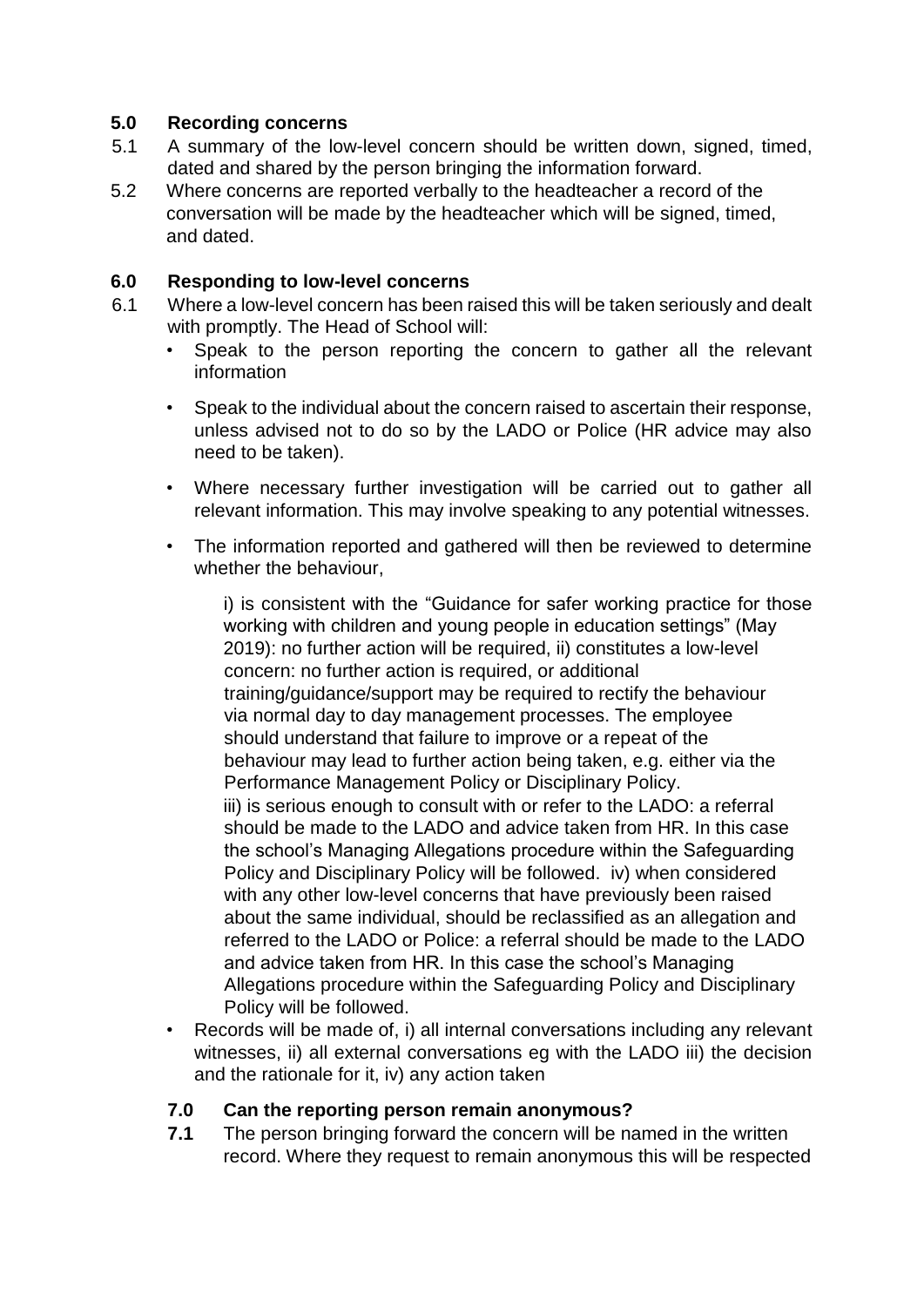#### **5.0 Recording concerns**

- 5.1 A summary of the low-level concern should be written down, signed, timed, dated and shared by the person bringing the information forward.
- 5.2 Where concerns are reported verbally to the headteacher a record of the conversation will be made by the headteacher which will be signed, timed, and dated.

#### **6.0 Responding to low-level concerns**

- 6.1 Where a low-level concern has been raised this will be taken seriously and dealt with promptly. The Head of School will:
	- Speak to the person reporting the concern to gather all the relevant information
	- Speak to the individual about the concern raised to ascertain their response, unless advised not to do so by the LADO or Police (HR advice may also need to be taken).
	- Where necessary further investigation will be carried out to gather all relevant information. This may involve speaking to any potential witnesses.
	- The information reported and gathered will then be reviewed to determine whether the behaviour,

i) is consistent with the "Guidance for safer working practice for those working with children and young people in education settings" (May 2019): no further action will be required, ii) constitutes a low-level concern: no further action is required, or additional training/guidance/support may be required to rectify the behaviour via normal day to day management processes. The employee should understand that failure to improve or a repeat of the behaviour may lead to further action being taken, e.g. either via the Performance Management Policy or Disciplinary Policy. iii) is serious enough to consult with or refer to the LADO: a referral should be made to the LADO and advice taken from HR. In this case the school's Managing Allegations procedure within the Safeguarding Policy and Disciplinary Policy will be followed. iv) when considered with any other low-level concerns that have previously been raised about the same individual, should be reclassified as an allegation and referred to the LADO or Police: a referral should be made to the LADO and advice taken from HR. In this case the school's Managing Allegations procedure within the Safeguarding Policy and Disciplinary Policy will be followed.

• Records will be made of, i) all internal conversations including any relevant witnesses, ii) all external conversations eg with the LADO iii) the decision and the rationale for it, iv) any action taken

#### **7.0 Can the reporting person remain anonymous?**

**7.1** The person bringing forward the concern will be named in the written record. Where they request to remain anonymous this will be respected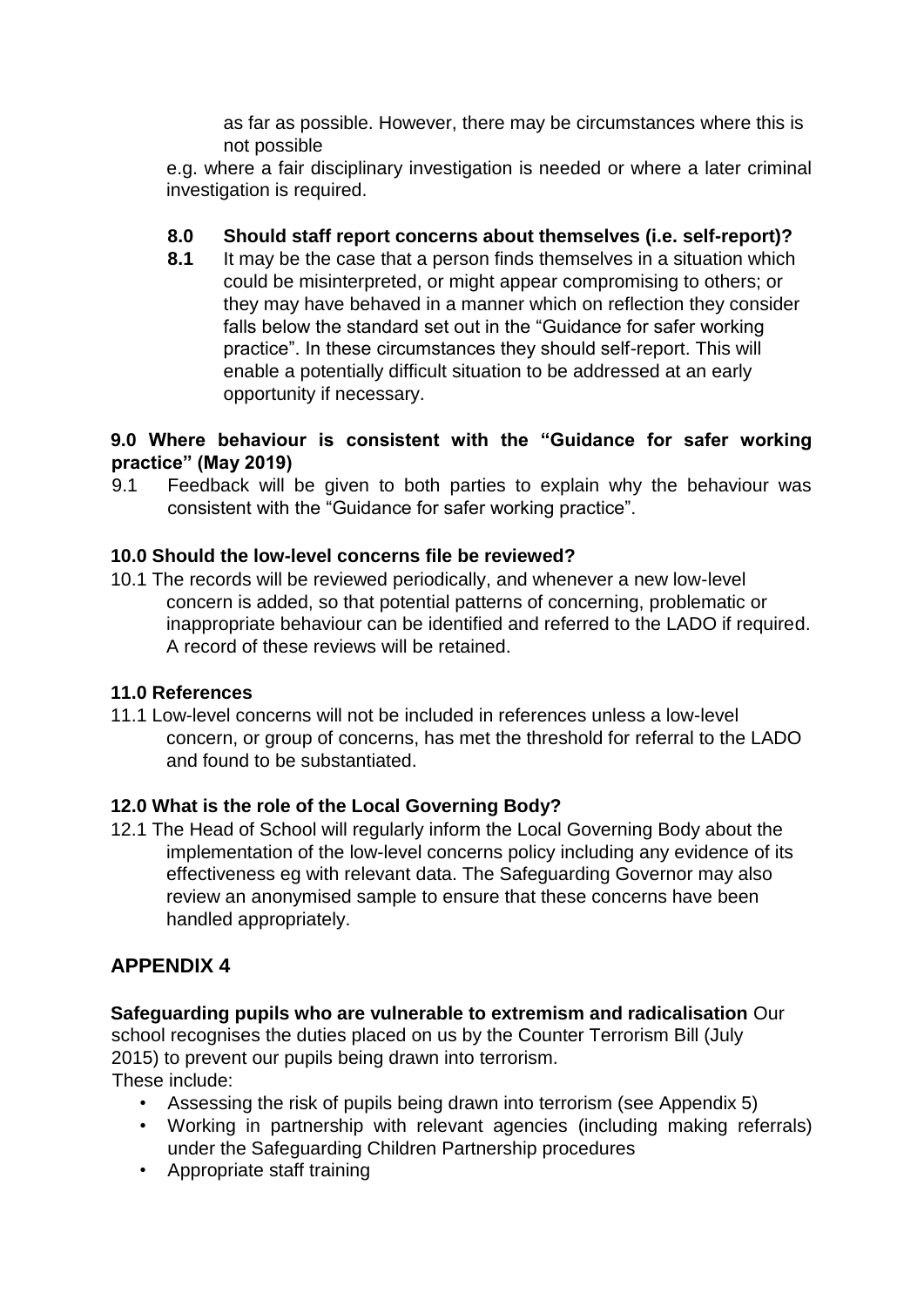as far as possible. However, there may be circumstances where this is not possible

e.g. where a fair disciplinary investigation is needed or where a later criminal investigation is required.

#### **8.0 Should staff report concerns about themselves (i.e. self-report)?**

**8.1** It may be the case that a person finds themselves in a situation which could be misinterpreted, or might appear compromising to others; or they may have behaved in a manner which on reflection they consider falls below the standard set out in the "Guidance for safer working practice". In these circumstances they should self-report. This will enable a potentially difficult situation to be addressed at an early opportunity if necessary.

#### **9.0 Where behaviour is consistent with the "Guidance for safer working practice" (May 2019)**

9.1 Feedback will be given to both parties to explain why the behaviour was consistent with the "Guidance for safer working practice".

#### **10.0 Should the low-level concerns file be reviewed?**

10.1 The records will be reviewed periodically, and whenever a new low-level concern is added, so that potential patterns of concerning, problematic or inappropriate behaviour can be identified and referred to the LADO if required. A record of these reviews will be retained.

#### **11.0 References**

11.1 Low-level concerns will not be included in references unless a low-level concern, or group of concerns, has met the threshold for referral to the LADO and found to be substantiated.

#### **12.0 What is the role of the Local Governing Body?**

12.1 The Head of School will regularly inform the Local Governing Body about the implementation of the low-level concerns policy including any evidence of its effectiveness eg with relevant data. The Safeguarding Governor may also review an anonymised sample to ensure that these concerns have been handled appropriately.

# **APPENDIX 4**

**Safeguarding pupils who are vulnerable to extremism and radicalisation** Our school recognises the duties placed on us by the Counter Terrorism Bill (July 2015) to prevent our pupils being drawn into terrorism. These include:

- Assessing the risk of pupils being drawn into terrorism (see Appendix 5)
- Working in partnership with relevant agencies (including making referrals) under the Safeguarding Children Partnership procedures
- Appropriate staff training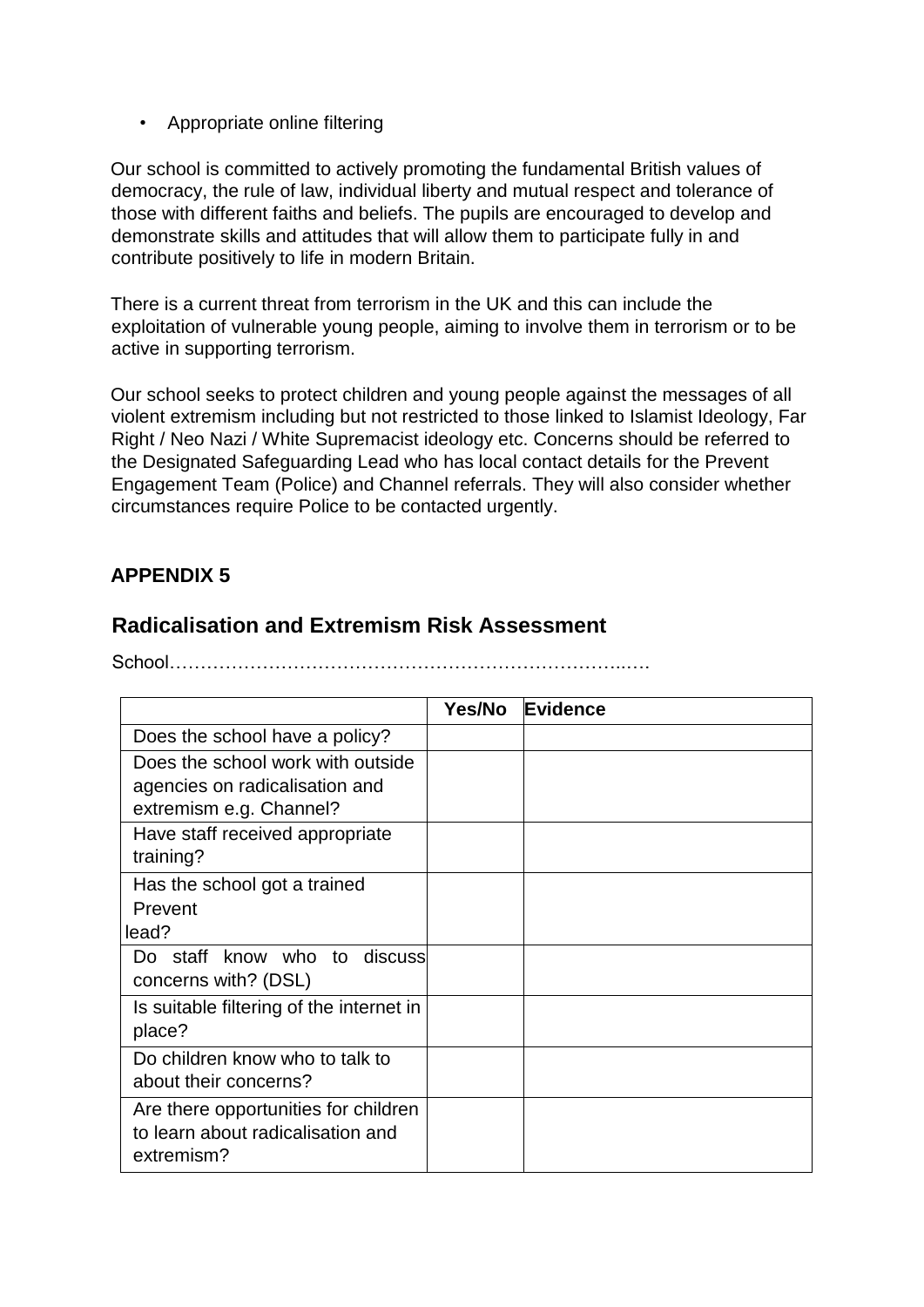• Appropriate online filtering

Our school is committed to actively promoting the fundamental British values of democracy, the rule of law, individual liberty and mutual respect and tolerance of those with different faiths and beliefs. The pupils are encouraged to develop and demonstrate skills and attitudes that will allow them to participate fully in and contribute positively to life in modern Britain.

There is a current threat from terrorism in the UK and this can include the exploitation of vulnerable young people, aiming to involve them in terrorism or to be active in supporting terrorism.

Our school seeks to protect children and young people against the messages of all violent extremism including but not restricted to those linked to Islamist Ideology, Far Right / Neo Nazi / White Supremacist ideology etc. Concerns should be referred to the Designated Safeguarding Lead who has local contact details for the Prevent Engagement Team (Police) and Channel referrals. They will also consider whether circumstances require Police to be contacted urgently.

# **APPENDIX 5**

# **Radicalisation and Extremism Risk Assessment**

School………………………………………………………………..….

|                                          | Yes/No | Evidence |
|------------------------------------------|--------|----------|
| Does the school have a policy?           |        |          |
| Does the school work with outside        |        |          |
| agencies on radicalisation and           |        |          |
| extremism e.g. Channel?                  |        |          |
| Have staff received appropriate          |        |          |
| training?                                |        |          |
| Has the school got a trained             |        |          |
| Prevent                                  |        |          |
| lead?                                    |        |          |
| Do staff know who to<br>discuss          |        |          |
| concerns with? (DSL)                     |        |          |
| Is suitable filtering of the internet in |        |          |
| place?                                   |        |          |
| Do children know who to talk to          |        |          |
| about their concerns?                    |        |          |
| Are there opportunities for children     |        |          |
| to learn about radicalisation and        |        |          |
| extremism?                               |        |          |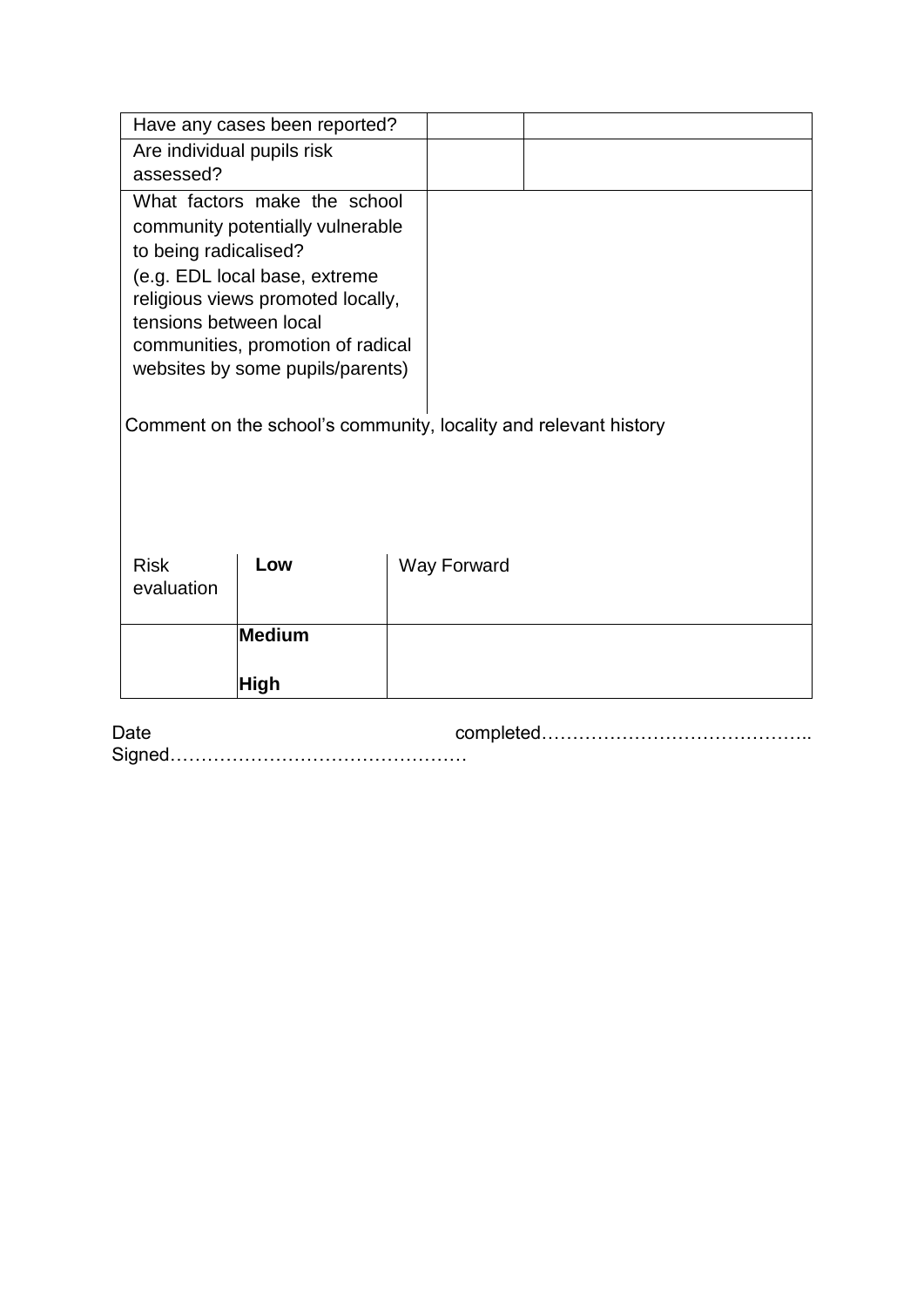|                                                                  | Have any cases been reported?     |             |
|------------------------------------------------------------------|-----------------------------------|-------------|
| Are individual pupils risk                                       |                                   |             |
| assessed?                                                        |                                   |             |
|                                                                  | What factors make the school      |             |
|                                                                  | community potentially vulnerable  |             |
| to being radicalised?                                            |                                   |             |
|                                                                  | (e.g. EDL local base, extreme     |             |
| tensions between local                                           | religious views promoted locally, |             |
|                                                                  | communities, promotion of radical |             |
|                                                                  | websites by some pupils/parents)  |             |
|                                                                  |                                   |             |
| Comment on the school's community, locality and relevant history |                                   |             |
|                                                                  |                                   |             |
|                                                                  |                                   |             |
|                                                                  |                                   |             |
|                                                                  |                                   |             |
| <b>Risk</b>                                                      | Low                               | Way Forward |
| evaluation                                                       |                                   |             |
|                                                                  |                                   |             |
|                                                                  | Medium                            |             |
|                                                                  |                                   |             |
|                                                                  | <b>High</b>                       |             |

| Jate |  |
|------|--|
|      |  |
|      |  |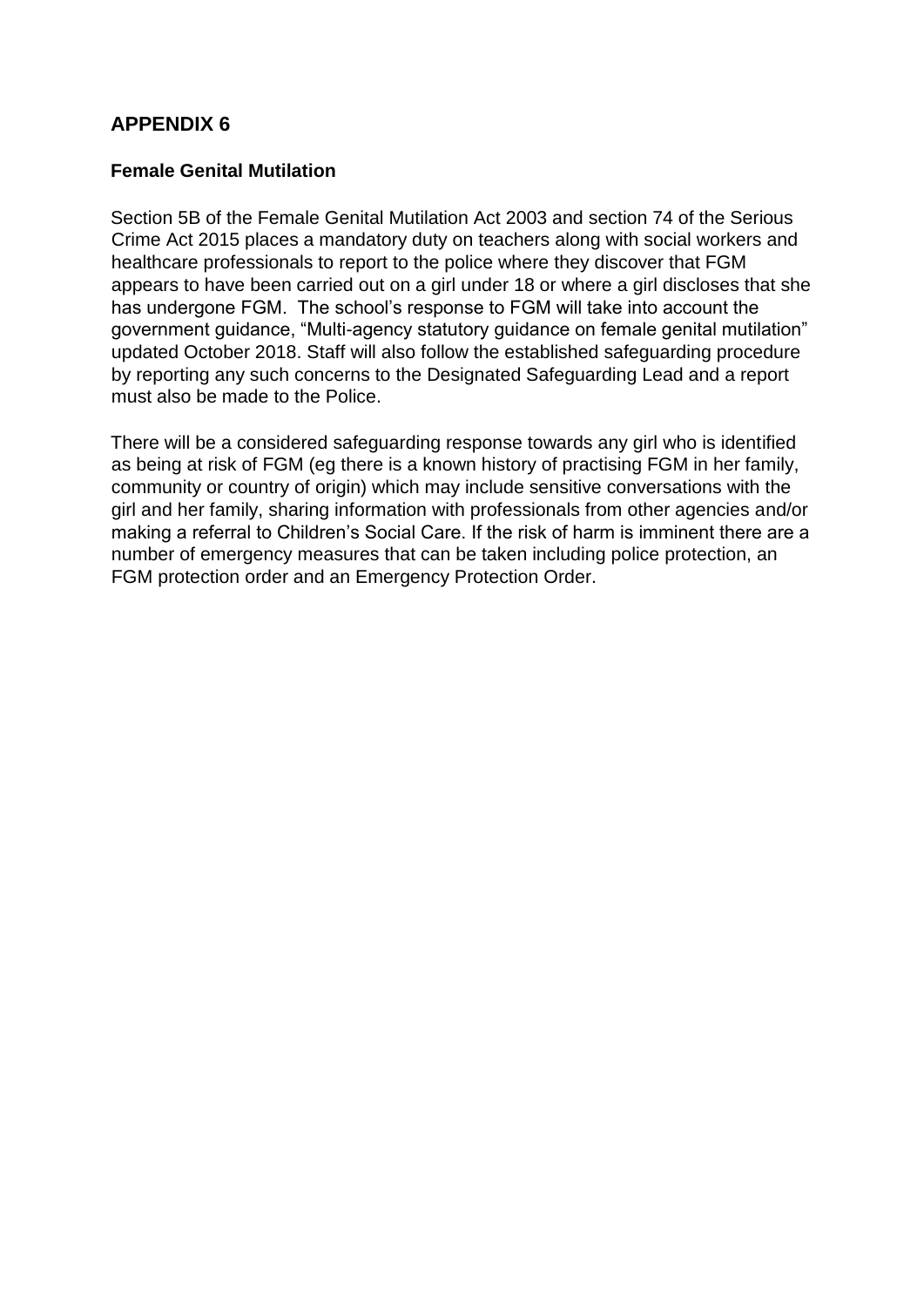# **APPENDIX 6**

#### **Female Genital Mutilation**

Section 5B of the Female Genital Mutilation Act 2003 and section 74 of the Serious Crime Act 2015 places a mandatory duty on teachers along with social workers and healthcare professionals to report to the police where they discover that FGM appears to have been carried out on a girl under 18 or where a girl discloses that she has undergone FGM. The school's response to FGM will take into account the government guidance, "Multi-agency statutory guidance on female genital mutilation" updated October 2018. Staff will also follow the established safeguarding procedure by reporting any such concerns to the Designated Safeguarding Lead and a report must also be made to the Police.

There will be a considered safeguarding response towards any girl who is identified as being at risk of FGM (eg there is a known history of practising FGM in her family, community or country of origin) which may include sensitive conversations with the girl and her family, sharing information with professionals from other agencies and/or making a referral to Children's Social Care. If the risk of harm is imminent there are a number of emergency measures that can be taken including police protection, an FGM protection order and an Emergency Protection Order.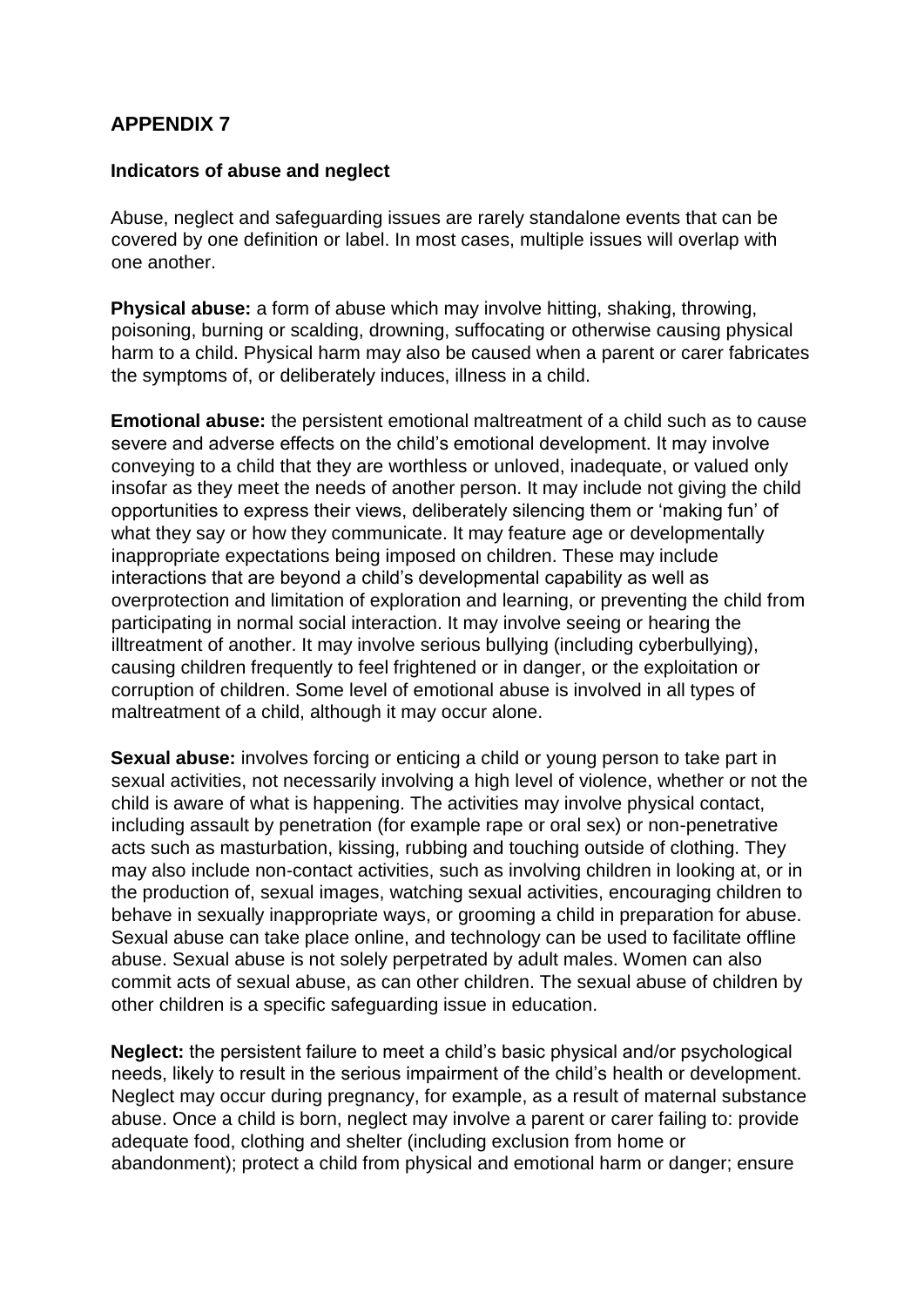# **APPENDIX 7**

#### **Indicators of abuse and neglect**

Abuse, neglect and safeguarding issues are rarely standalone events that can be covered by one definition or label. In most cases, multiple issues will overlap with one another.

**Physical abuse:** a form of abuse which may involve hitting, shaking, throwing, poisoning, burning or scalding, drowning, suffocating or otherwise causing physical harm to a child. Physical harm may also be caused when a parent or carer fabricates the symptoms of, or deliberately induces, illness in a child.

**Emotional abuse:** the persistent emotional maltreatment of a child such as to cause severe and adverse effects on the child's emotional development. It may involve conveying to a child that they are worthless or unloved, inadequate, or valued only insofar as they meet the needs of another person. It may include not giving the child opportunities to express their views, deliberately silencing them or 'making fun' of what they say or how they communicate. It may feature age or developmentally inappropriate expectations being imposed on children. These may include interactions that are beyond a child's developmental capability as well as overprotection and limitation of exploration and learning, or preventing the child from participating in normal social interaction. It may involve seeing or hearing the illtreatment of another. It may involve serious bullying (including cyberbullying), causing children frequently to feel frightened or in danger, or the exploitation or corruption of children. Some level of emotional abuse is involved in all types of maltreatment of a child, although it may occur alone.

**Sexual abuse:** involves forcing or enticing a child or young person to take part in sexual activities, not necessarily involving a high level of violence, whether or not the child is aware of what is happening. The activities may involve physical contact, including assault by penetration (for example rape or oral sex) or non-penetrative acts such as masturbation, kissing, rubbing and touching outside of clothing. They may also include non-contact activities, such as involving children in looking at, or in the production of, sexual images, watching sexual activities, encouraging children to behave in sexually inappropriate ways, or grooming a child in preparation for abuse. Sexual abuse can take place online, and technology can be used to facilitate offline abuse. Sexual abuse is not solely perpetrated by adult males. Women can also commit acts of sexual abuse, as can other children. The sexual abuse of children by other children is a specific safeguarding issue in education.

**Neglect:** the persistent failure to meet a child's basic physical and/or psychological needs, likely to result in the serious impairment of the child's health or development. Neglect may occur during pregnancy, for example, as a result of maternal substance abuse. Once a child is born, neglect may involve a parent or carer failing to: provide adequate food, clothing and shelter (including exclusion from home or abandonment); protect a child from physical and emotional harm or danger; ensure